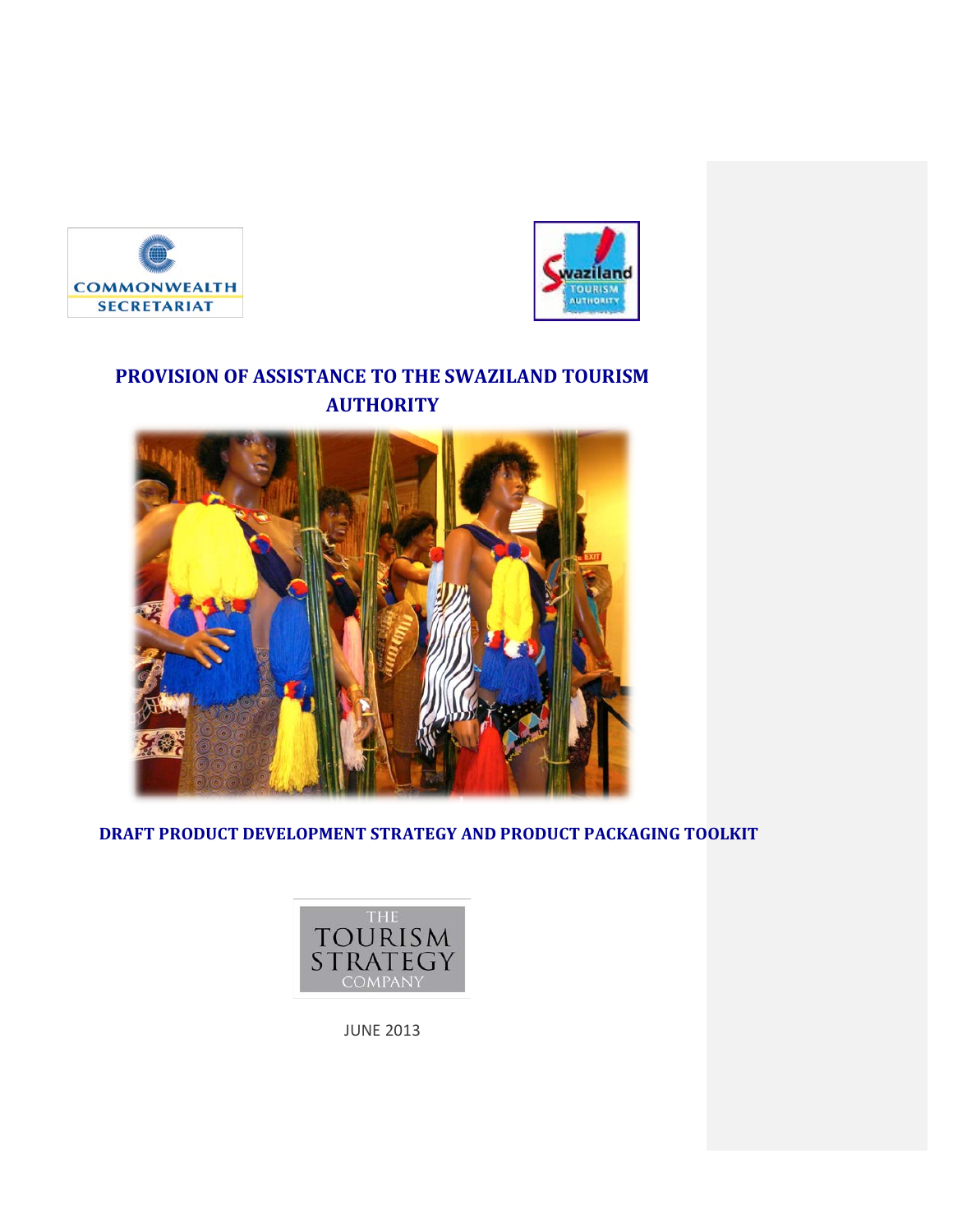



# **PROVISION OF ASSISTANCE TO THE SWAZILAND TOURISM AUTHORITY**



**DRAFT PRODUCT DEVELOPMENT STRATEGY AND PRODUCT PACKAGING TOOLKIT** 



JUNE 2013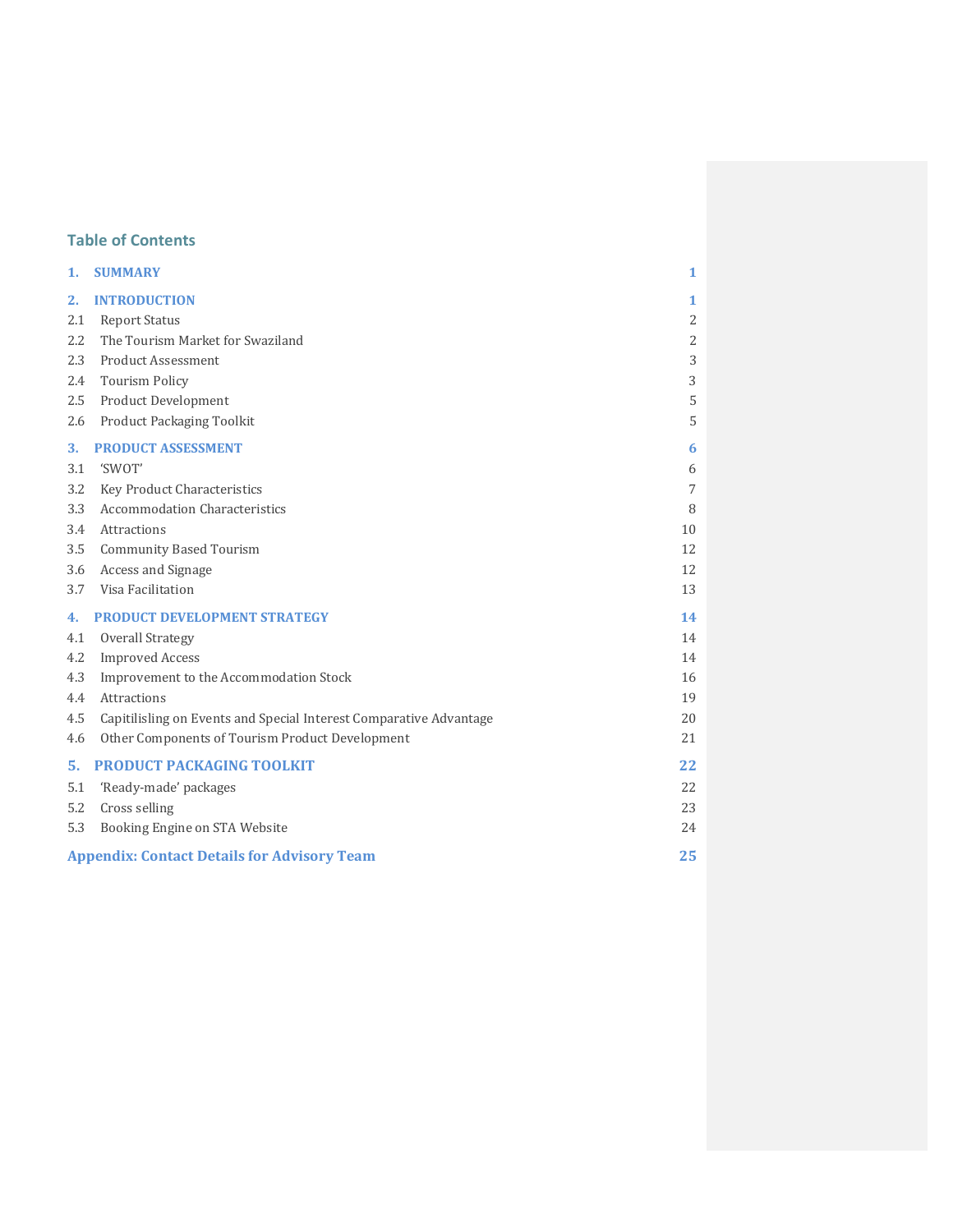# **Table of Contents**

| 1.  | <b>SUMMARY</b>                                                     | 1              |  |
|-----|--------------------------------------------------------------------|----------------|--|
| 2.  | <b>INTRODUCTION</b>                                                | 1              |  |
| 2.1 | <b>Report Status</b>                                               | 2              |  |
| 2.2 | The Tourism Market for Swaziland                                   | $\overline{2}$ |  |
| 2.3 | <b>Product Assessment</b>                                          | 3              |  |
| 2.4 | <b>Tourism Policy</b>                                              | 3              |  |
| 2.5 | Product Development                                                | 5              |  |
| 2.6 | Product Packaging Toolkit                                          | 5              |  |
| 3.  | <b>PRODUCT ASSESSMENT</b>                                          | 6              |  |
| 3.1 | 'SWOT'                                                             | 6              |  |
| 3.2 | Key Product Characteristics                                        | 7              |  |
| 3.3 | <b>Accommodation Characteristics</b>                               | 8              |  |
| 3.4 | Attractions                                                        | 10             |  |
| 3.5 | <b>Community Based Tourism</b>                                     | 12             |  |
| 3.6 | Access and Signage                                                 | 12             |  |
| 3.7 | Visa Facilitation                                                  | 13             |  |
| 4.  | <b>PRODUCT DEVELOPMENT STRATEGY</b>                                | 14             |  |
| 4.1 | <b>Overall Strategy</b>                                            | 14             |  |
| 4.2 | <b>Improved Access</b>                                             | 14             |  |
| 4.3 | Improvement to the Accommodation Stock                             | 16             |  |
| 4.4 | <b>Attractions</b>                                                 | 19             |  |
| 4.5 | Capitilisling on Events and Special Interest Comparative Advantage | 20             |  |
| 4.6 | Other Components of Tourism Product Development                    | 21             |  |
| 5.  | <b>PRODUCT PACKAGING TOOLKIT</b>                                   | 22             |  |
| 5.1 | 'Ready-made' packages                                              | 22             |  |
| 5.2 | Cross selling                                                      | 23             |  |
| 5.3 | Booking Engine on STA Website                                      | 24             |  |
|     | <b>Appendix: Contact Details for Advisory Team</b><br>25           |                |  |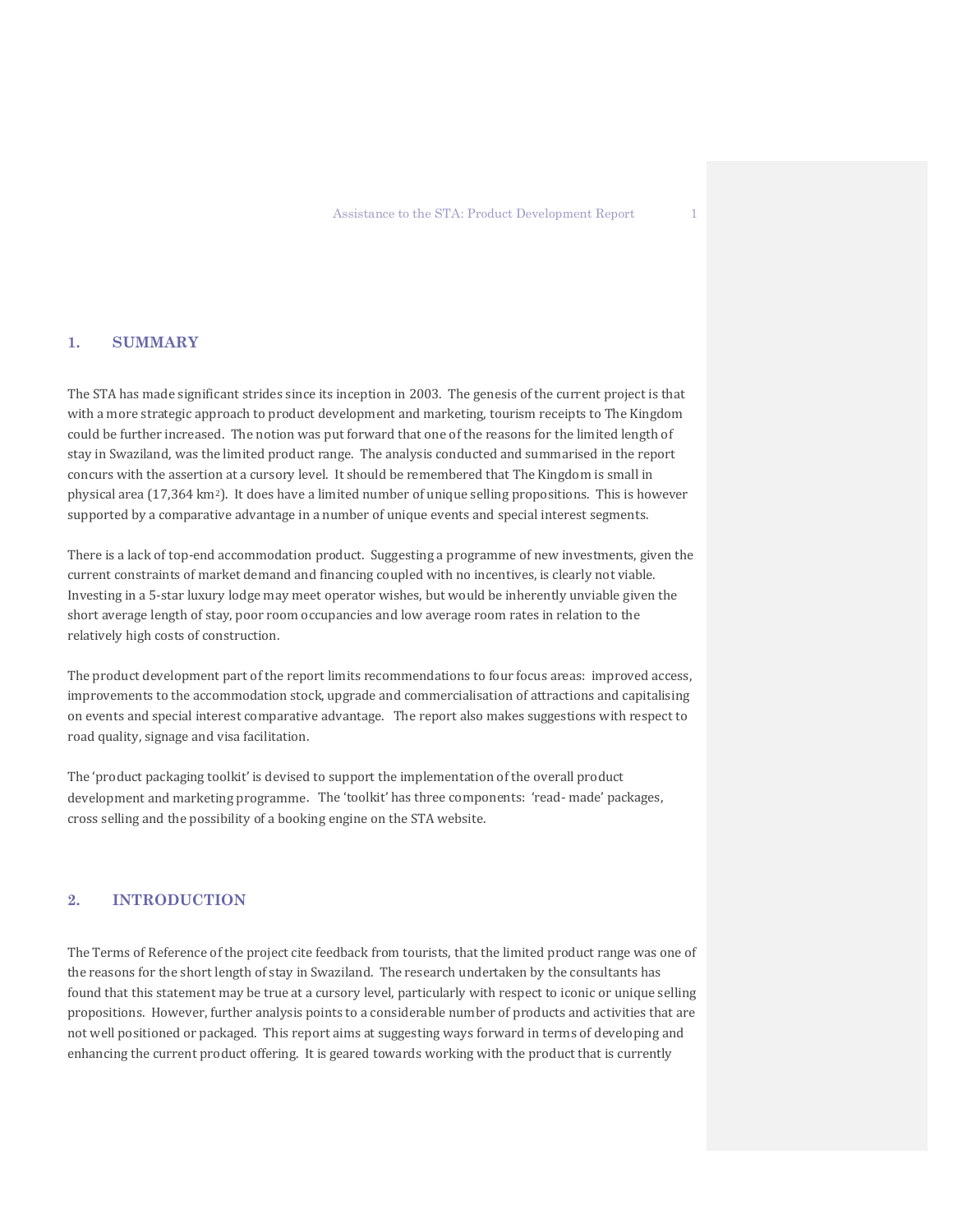# **1. SUMMARY**

The STA has made significant strides since its inception in 2003. The genesis of the current project is that with a more strategic approach to product development and marketing, tourism receipts to The Kingdom could be further increased. The notion was put forward that one of the reasons for the limited length of stay in Swaziland, was the limited product range. The analysis conducted and summarised in the report concurs with the assertion at a cursory level. It should be remembered that The Kingdom is small in physical area (17,364 km2). It does have a limited number of unique selling propositions. This is however supported by a comparative advantage in a number of unique events and special interest segments.

There is a lack of top-end accommodation product. Suggesting a programme of new investments, given the current constraints of market demand and financing coupled with no incentives, is clearly not viable. Investing in a 5-star luxury lodge may meet operator wishes, but would be inherently unviable given the short average length of stay, poor room occupancies and low average room rates in relation to the relatively high costs of construction.

The product development part of the report limits recommendations to four focus areas: improved access, improvements to the accommodation stock, upgrade and commercialisation of attractions and capitalising on events and special interest comparative advantage. The report also makes suggestions with respect to road quality, signage and visa facilitation.

The 'product packaging toolkit' is devised to support the implementation of the overall product development and marketing programme. The 'toolkit' has three components: 'read- made' packages, cross selling and the possibility of a booking engine on the STA website.

# **2. INTRODUCTION**

The Terms of Reference of the project cite feedback from tourists, that the limited product range was one of the reasons for the short length of stay in Swaziland. The research undertaken by the consultants has found that this statement may be true at a cursory level, particularly with respect to iconic or unique selling propositions. However, further analysis points to a considerable number of products and activities that are not well positioned or packaged. This report aims at suggesting ways forward in terms of developing and enhancing the current product offering. It is geared towards working with the product that is currently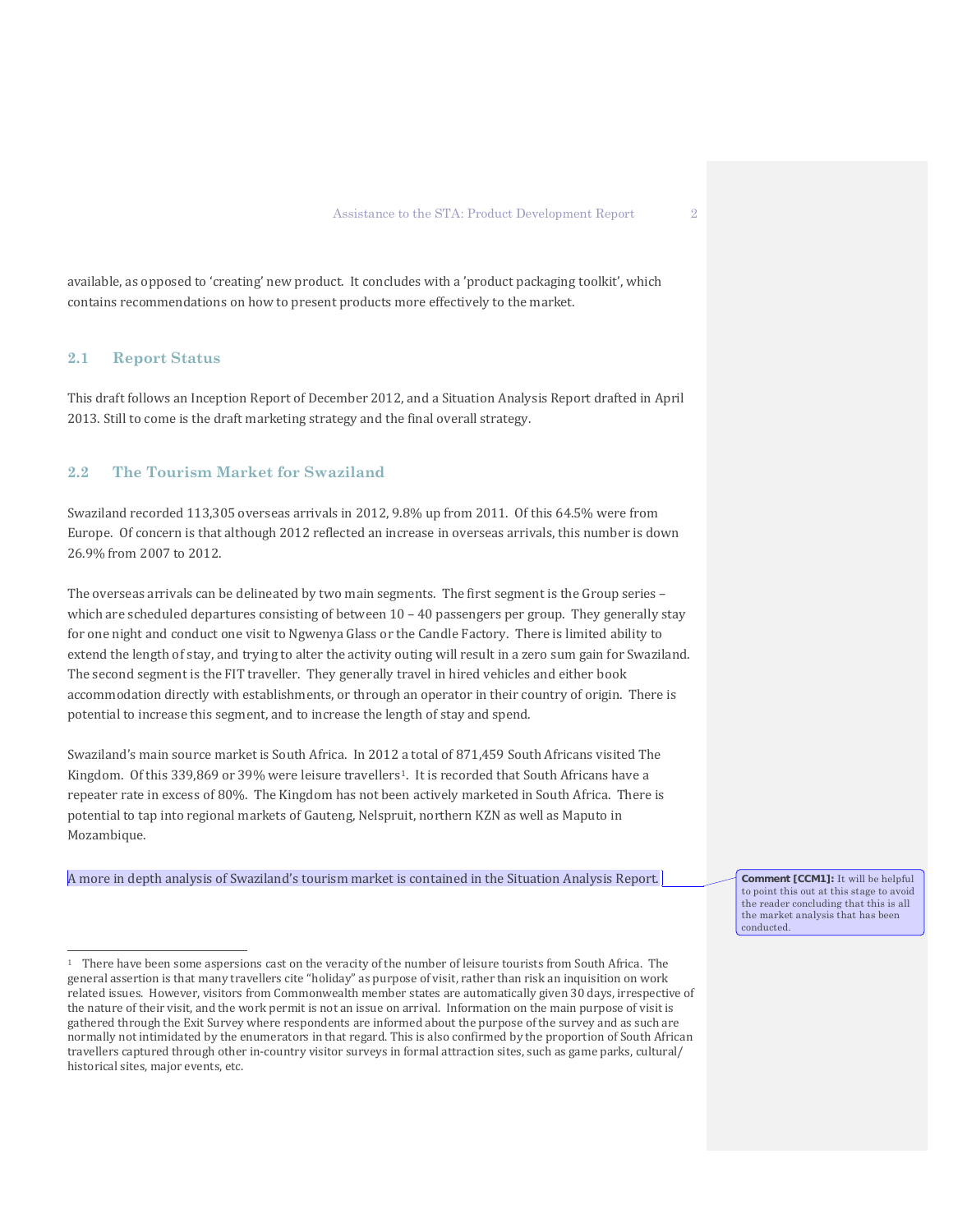available, as opposed to 'creating' new product. It concludes with a 'product packaging toolkit', which contains recommendations on how to present products more effectively to the market.

# **2.1 Report Status**

 $\overline{a}$ 

This draft follows an Inception Report of December 2012, and a Situation Analysis Report drafted in April 2013. Still to come is the draft marketing strategy and the final overall strategy.

# **2.2 The Tourism Market for Swaziland**

Swaziland recorded 113,305 overseas arrivals in 2012, 9.8% up from 2011. Of this 64.5% were from Europe. Of concern is that although 2012 reflected an increase in overseas arrivals, this number is down 26.9% from 2007 to 2012.

The overseas arrivals can be delineated by two main segments. The first segment is the Group series – which are scheduled departures consisting of between  $10 - 40$  passengers per group. They generally stay for one night and conduct one visit to Ngwenya Glass or the Candle Factory. There is limited ability to extend the length of stay, and trying to alter the activity outing will result in a zero sum gain for Swaziland. The second segment is the FIT traveller. They generally travel in hired vehicles and either book accommodation directly with establishments, or through an operator in their country of origin. There is potential to increase this segment, and to increase the length of stay and spend.

Swaziland's main source market is South Africa. In 2012 a total of 871,459 South Africans visited The Kingdom. Of this 339,869 or 39% were leisure travellers<sup>[1](#page-3-0)</sup>. It is recorded that South Africans have a repeater rate in excess of 80%. The Kingdom has not been actively marketed in South Africa. There is potential to tap into regional markets of Gauteng, Nelspruit, northern KZN as well as Maputo in Mozambique.

A more in depth analysis of Swaziland's tourism market is contained in the Situation Analysis Report.

**Comment [CCM1]:** It will be helpful to point this out at this stage to avoid the reader concluding that this is all the market analysis that has been conducted.

<span id="page-3-0"></span><sup>1</sup> There have been some aspersions cast on the veracity of the number of leisure tourists from South Africa. The general assertion is that many travellers cite "holiday" as purpose of visit, rather than risk an inquisition on work related issues. However, visitors from Commonwealth member states are automatically given 30 days, irrespective of the nature of their visit, and the work permit is not an issue on arrival. Information on the main purpose of visit is gathered through the Exit Survey where respondents are informed about the purpose of the survey and as such are normally not intimidated by the enumerators in that regard. This is also confirmed by the proportion of South African travellers captured through other in-country visitor surveys in formal attraction sites, such as game parks, cultural/ historical sites, major events, etc.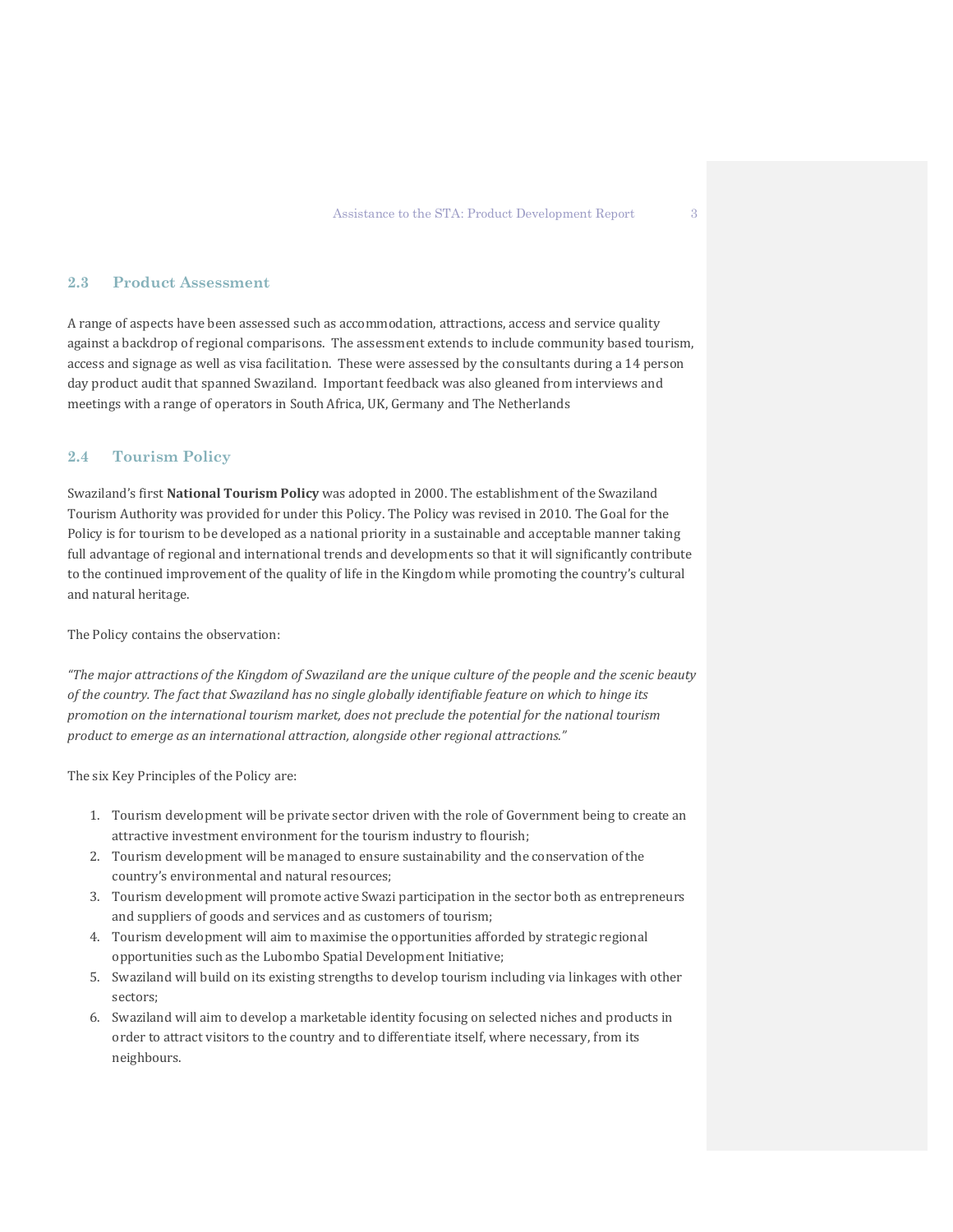# **2.3 Product Assessment**

A range of aspects have been assessed such as accommodation, attractions, access and service quality against a backdrop of regional comparisons. The assessment extends to include community based tourism, access and signage as well as visa facilitation. These were assessed by the consultants during a 14 person day product audit that spanned Swaziland. Important feedback was also gleaned from interviews and meetings with a range of operators in South Africa, UK, Germany and The Netherlands

#### **2.4 Tourism Policy**

Swaziland's first **National Tourism Policy** was adopted in 2000. The establishment of the Swaziland Tourism Authority was provided for under this Policy. The Policy was revised in 2010. The Goal for the Policy is for tourism to be developed as a national priority in a sustainable and acceptable manner taking full advantage of regional and international trends and developments so that it will significantly contribute to the continued improvement of the quality of life in the Kingdom while promoting the country's cultural and natural heritage.

The Policy contains the observation:

*"The major attractions of the Kingdom of Swaziland are the unique culture of the people and the scenic beauty of the country. The fact that Swaziland has no single globally identifiable feature on which to hinge its promotion on the international tourism market, does not preclude the potential for the national tourism product to emerge as an international attraction, alongside other regional attractions."*

The six Key Principles of the Policy are:

- 1. Tourism development will be private sector driven with the role of Government being to create an attractive investment environment for the tourism industry to flourish;
- 2. Tourism development will be managed to ensure sustainability and the conservation of the country's environmental and natural resources;
- 3. Tourism development will promote active Swazi participation in the sector both as entrepreneurs and suppliers of goods and services and as customers of tourism;
- 4. Tourism development will aim to maximise the opportunities afforded by strategic regional opportunities such as the Lubombo Spatial Development Initiative;
- 5. Swaziland will build on its existing strengths to develop tourism including via linkages with other sectors;
- 6. Swaziland will aim to develop a marketable identity focusing on selected niches and products in order to attract visitors to the country and to differentiate itself, where necessary, from its neighbours.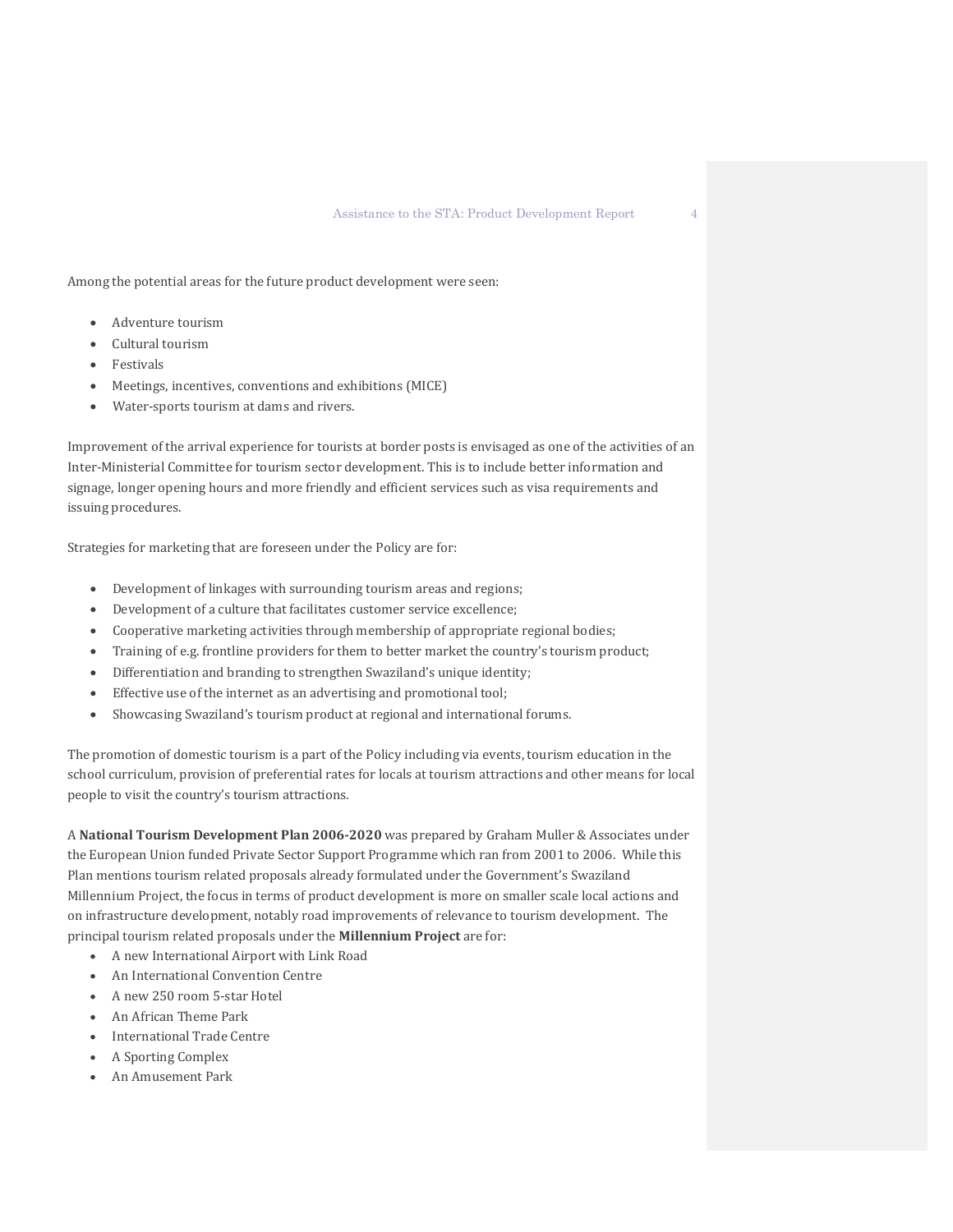Among the potential areas for the future product development were seen:

- Adventure tourism
- Cultural tourism
- **Festivals**
- Meetings, incentives, conventions and exhibitions (MICE)
- Water-sports tourism at dams and rivers.

Improvement of the arrival experience for tourists at border posts is envisaged as one of the activities of an Inter-Ministerial Committee for tourism sector development. This is to include better information and signage, longer opening hours and more friendly and efficient services such as visa requirements and issuing procedures.

Strategies for marketing that are foreseen under the Policy are for:

- Development of linkages with surrounding tourism areas and regions;
- Development of a culture that facilitates customer service excellence;
- Cooperative marketing activities through membership of appropriate regional bodies;
- Training of e.g. frontline providers for them to better market the country's tourism product;
- Differentiation and branding to strengthen Swaziland's unique identity;
- Effective use of the internet as an advertising and promotional tool;
- Showcasing Swaziland's tourism product at regional and international forums.

The promotion of domestic tourism is a part of the Policy including via events, tourism education in the school curriculum, provision of preferential rates for locals at tourism attractions and other means for local people to visit the country's tourism attractions.

A **National Tourism Development Plan 2006-2020** was prepared by Graham Muller & Associates under the European Union funded Private Sector Support Programme which ran from 2001 to 2006. While this Plan mentions tourism related proposals already formulated under the Government's Swaziland Millennium Project, the focus in terms of product development is more on smaller scale local actions and on infrastructure development, notably road improvements of relevance to tourism development. The principal tourism related proposals under the **Millennium Project** are for:

- A new International Airport with Link Road
- An International Convention Centre
- A new 250 room 5-star Hotel
- An African Theme Park
- International Trade Centre
- A Sporting Complex
- An Amusement Park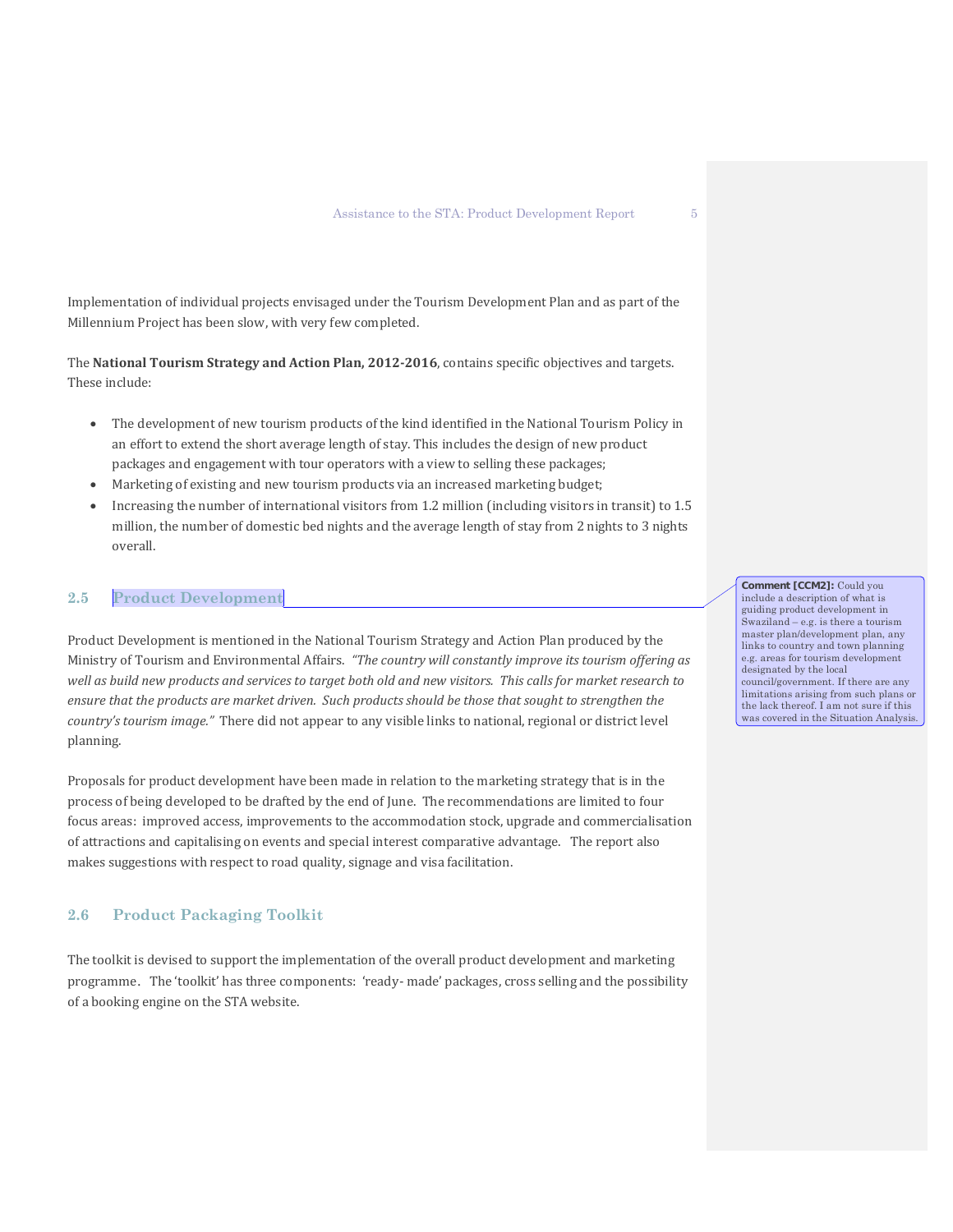Implementation of individual projects envisaged under the Tourism Development Plan and as part of the Millennium Project has been slow, with very few completed.

The **National Tourism Strategy and Action Plan, 2012-2016**, contains specific objectives and targets. These include:

- The development of new tourism products of the kind identified in the National Tourism Policy in an effort to extend the short average length of stay. This includes the design of new product packages and engagement with tour operators with a view to selling these packages;
- Marketing of existing and new tourism products via an increased marketing budget;
- Increasing the number of international visitors from 1.2 million (including visitors in transit) to 1.5 million, the number of domestic bed nights and the average length of stay from 2 nights to 3 nights overall.

### **2.5 Product Development**

Product Development is mentioned in the National Tourism Strategy and Action Plan produced by the Ministry of Tourism and Environmental Affairs. *"The country will constantly improve its tourism offering as well as build new products and services to target both old and new visitors. This calls for market research to ensure that the products are market driven. Such products should be those that sought to strengthen the country's tourism image."* There did not appear to any visible links to national, regional or district level planning.

Proposals for product development have been made in relation to the marketing strategy that is in the process of being developed to be drafted by the end of June. The recommendations are limited to four focus areas: improved access, improvements to the accommodation stock, upgrade and commercialisation of attractions and capitalising on events and special interest comparative advantage. The report also makes suggestions with respect to road quality, signage and visa facilitation.

#### **2.6 Product Packaging Toolkit**

The toolkit is devised to support the implementation of the overall product development and marketing programme. The 'toolkit' has three components: 'ready- made' packages, cross selling and the possibility of a booking engine on the STA website.

**Comment [CCM2]:** Could you include a description of what is guiding product development in Swaziland – e.g. is there a tourism master plan/development plan, any links to country and town planning e.g. areas for tourism development designated by the local council/government. If there are any limitations arising from such plans or the lack thereof. I am not sure if this

was covered in the Situation Analysis.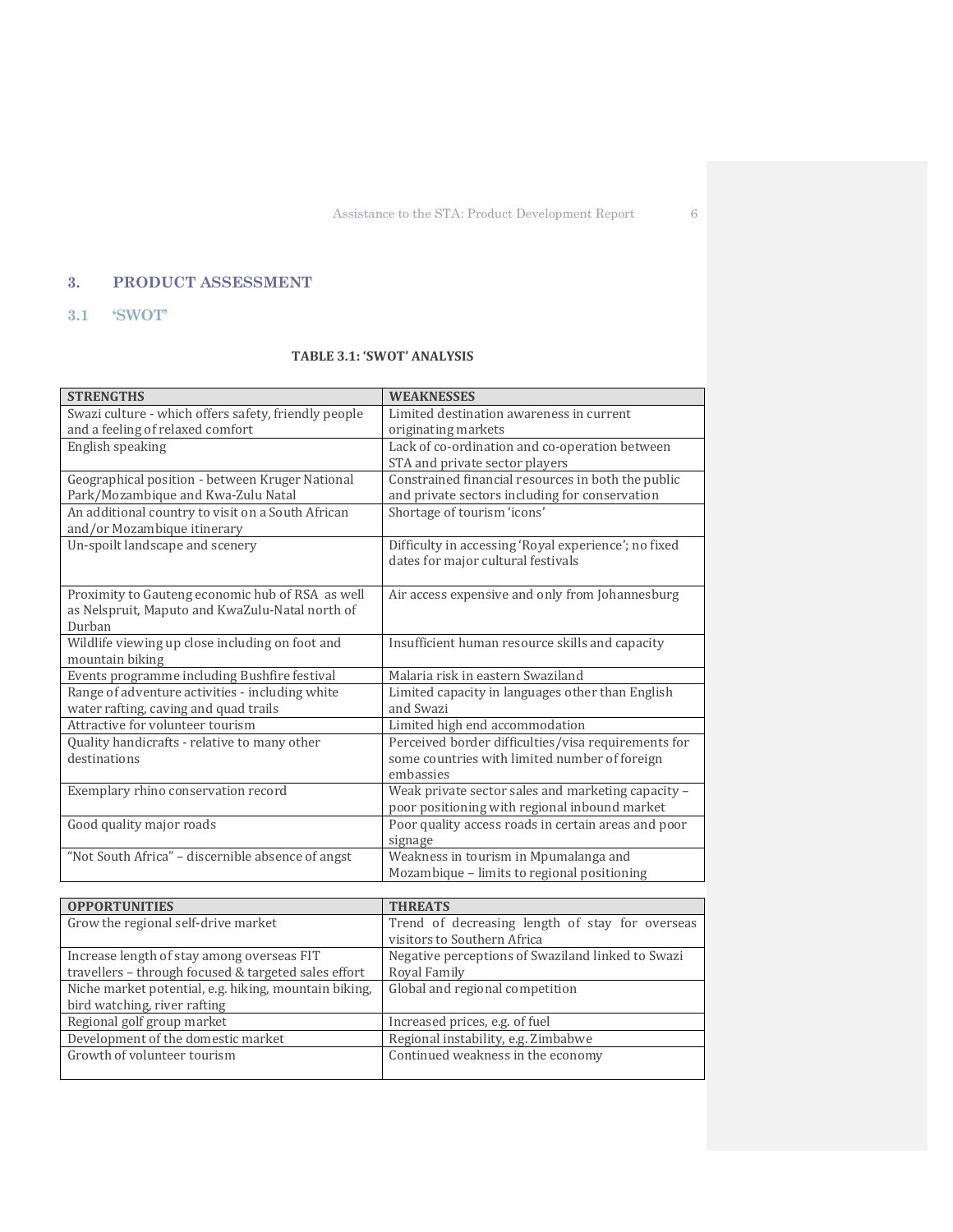# **3. PRODUCT ASSESSMENT**

# **3.1 'SWOT'**

# **TABLE 3.1: 'SWOT' ANALYSIS**

| <b>STRENGTHS</b>                                     | <b>WEAKNESSES</b>                                    |
|------------------------------------------------------|------------------------------------------------------|
| Swazi culture - which offers safety, friendly people | Limited destination awareness in current             |
| and a feeling of relaxed comfort                     | originating markets                                  |
| English speaking                                     | Lack of co-ordination and co-operation between       |
|                                                      | STA and private sector players                       |
| Geographical position - between Kruger National      | Constrained financial resources in both the public   |
| Park/Mozambique and Kwa-Zulu Natal                   | and private sectors including for conservation       |
| An additional country to visit on a South African    | Shortage of tourism 'icons'                          |
| and/or Mozambique itinerary                          |                                                      |
| Un-spoilt landscape and scenery                      | Difficulty in accessing 'Royal experience'; no fixed |
|                                                      | dates for major cultural festivals                   |
|                                                      |                                                      |
| Proximity to Gauteng economic hub of RSA as well     | Air access expensive and only from Johannesburg      |
| as Nelspruit, Maputo and KwaZulu-Natal north of      |                                                      |
| Durban                                               |                                                      |
| Wildlife viewing up close including on foot and      | Insufficient human resource skills and capacity      |
| mountain biking                                      |                                                      |
| Events programme including Bushfire festival         | Malaria risk in eastern Swaziland                    |
| Range of adventure activities - including white      | Limited capacity in languages other than English     |
| water rafting, caving and quad trails                | and Swazi                                            |
| Attractive for volunteer tourism                     | Limited high end accommodation                       |
| Quality handicrafts - relative to many other         | Perceived border difficulties/visa requirements for  |
| destinations                                         | some countries with limited number of foreign        |
|                                                      | embassies                                            |
| Exemplary rhino conservation record                  | Weak private sector sales and marketing capacity -   |
|                                                      | poor positioning with regional inbound market        |
| Good quality major roads                             | Poor quality access roads in certain areas and poor  |
|                                                      | signage                                              |
| "Not South Africa" - discernible absence of angst    | Weakness in tourism in Mpumalanga and                |
|                                                      | Mozambique - limits to regional positioning          |

| <b>OPPORTUNITIES</b>                                  | <b>THREATS</b>                                    |
|-------------------------------------------------------|---------------------------------------------------|
| Grow the regional self-drive market                   | Trend of decreasing length of stay for overseas   |
|                                                       | visitors to Southern Africa                       |
| Increase length of stay among overseas FIT            | Negative perceptions of Swaziland linked to Swazi |
| travellers - through focused & targeted sales effort  | Royal Family                                      |
| Niche market potential, e.g. hiking, mountain biking, | Global and regional competition                   |
| bird watching, river rafting                          |                                                   |
| Regional golf group market                            | Increased prices, e.g. of fuel                    |
| Development of the domestic market                    | Regional instability, e.g. Zimbabwe               |
| Growth of volunteer tourism                           | Continued weakness in the economy                 |
|                                                       |                                                   |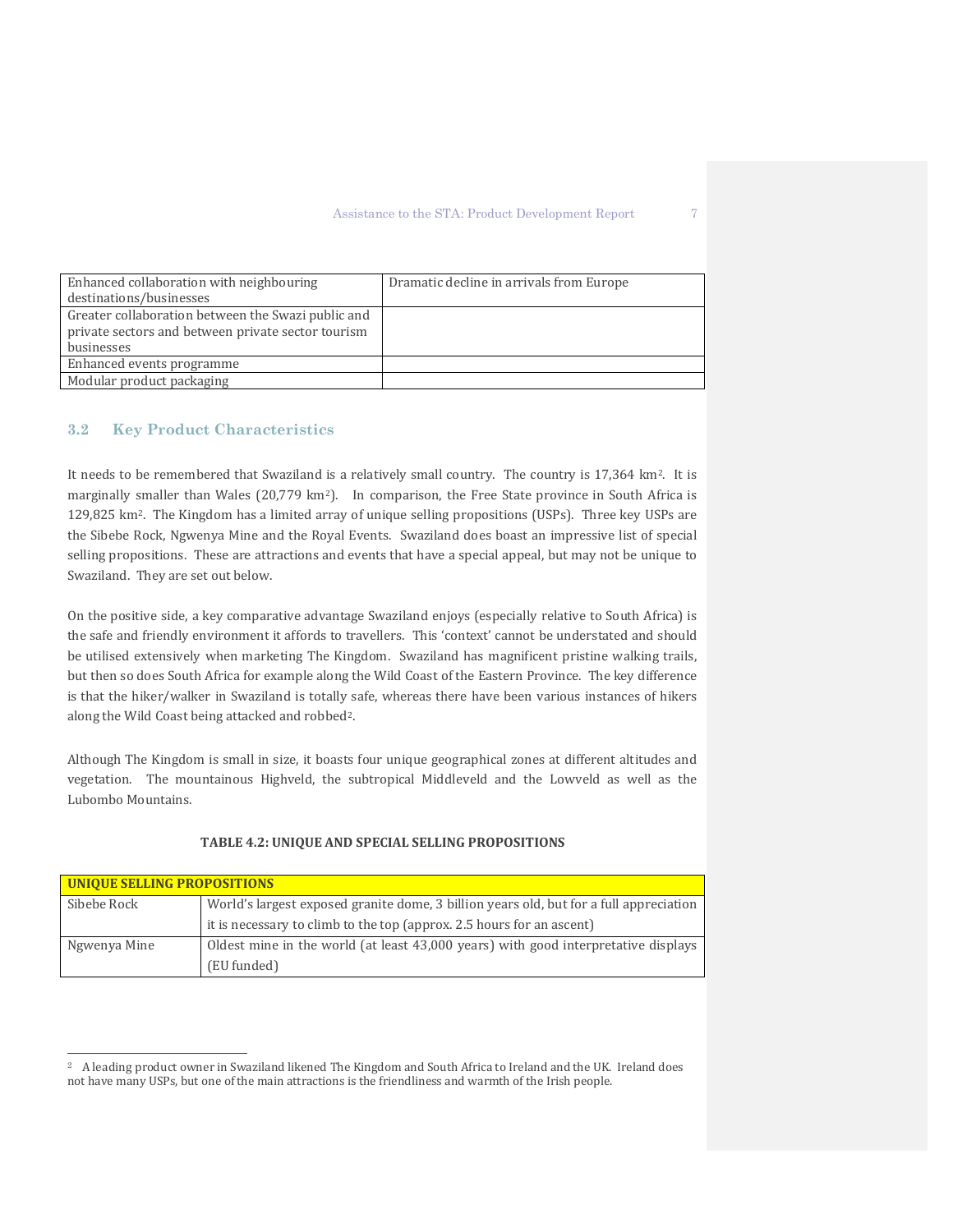| Enhanced collaboration with neighbouring           | Dramatic decline in arrivals from Europe |
|----------------------------------------------------|------------------------------------------|
| destinations/businesses                            |                                          |
| Greater collaboration between the Swazi public and |                                          |
| private sectors and between private sector tourism |                                          |
| businesses                                         |                                          |
| Enhanced events programme                          |                                          |
| Modular product packaging                          |                                          |

### **3.2 Key Product Characteristics**

 $\overline{a}$ 

It needs to be remembered that Swaziland is a relatively small country. The country is 17,364 km2. It is marginally smaller than Wales (20,779 km2). In comparison, the Free State province in South Africa is 129,825 km2. The Kingdom has a limited array of unique selling propositions (USPs). Three key USPs are the Sibebe Rock, Ngwenya Mine and the Royal Events. Swaziland does boast an impressive list of special selling propositions. These are attractions and events that have a special appeal, but may not be unique to Swaziland. They are set out below.

On the positive side, a key comparative advantage Swaziland enjoys (especially relative to South Africa) is the safe and friendly environment it affords to travellers. This 'context' cannot be understated and should be utilised extensively when marketing The Kingdom. Swaziland has magnificent pristine walking trails, but then so does South Africa for example along the Wild Coast of the Eastern Province. The key difference is that the hiker/walker in Swaziland is totally safe, whereas there have been various instances of hikers along the Wild Coast being attacked and robbed[2.](#page-8-0)

Although The Kingdom is small in size, it boasts four unique geographical zones at different altitudes and vegetation. The mountainous Highveld, the subtropical Middleveld and the Lowveld as well as the Lubombo Mountains.

| UNIQUE SELLING PROPOSITIONS |                                                                                        |  |  |  |
|-----------------------------|----------------------------------------------------------------------------------------|--|--|--|
| Sibebe Rock                 | World's largest exposed granite dome, 3 billion years old, but for a full appreciation |  |  |  |
|                             | it is necessary to climb to the top (approx. 2.5 hours for an ascent)                  |  |  |  |
| Ngwenya Mine                | Oldest mine in the world (at least 43,000 years) with good interpretative displays     |  |  |  |
|                             | (EU funded)                                                                            |  |  |  |

#### **TABLE 4.2: UNIQUE AND SPECIAL SELLING PROPOSITIONS**

<span id="page-8-0"></span><sup>2</sup> A leading product owner in Swaziland likened The Kingdom and South Africa to Ireland and the UK. Ireland does not have many USPs, but one of the main attractions is the friendliness and warmth of the Irish people.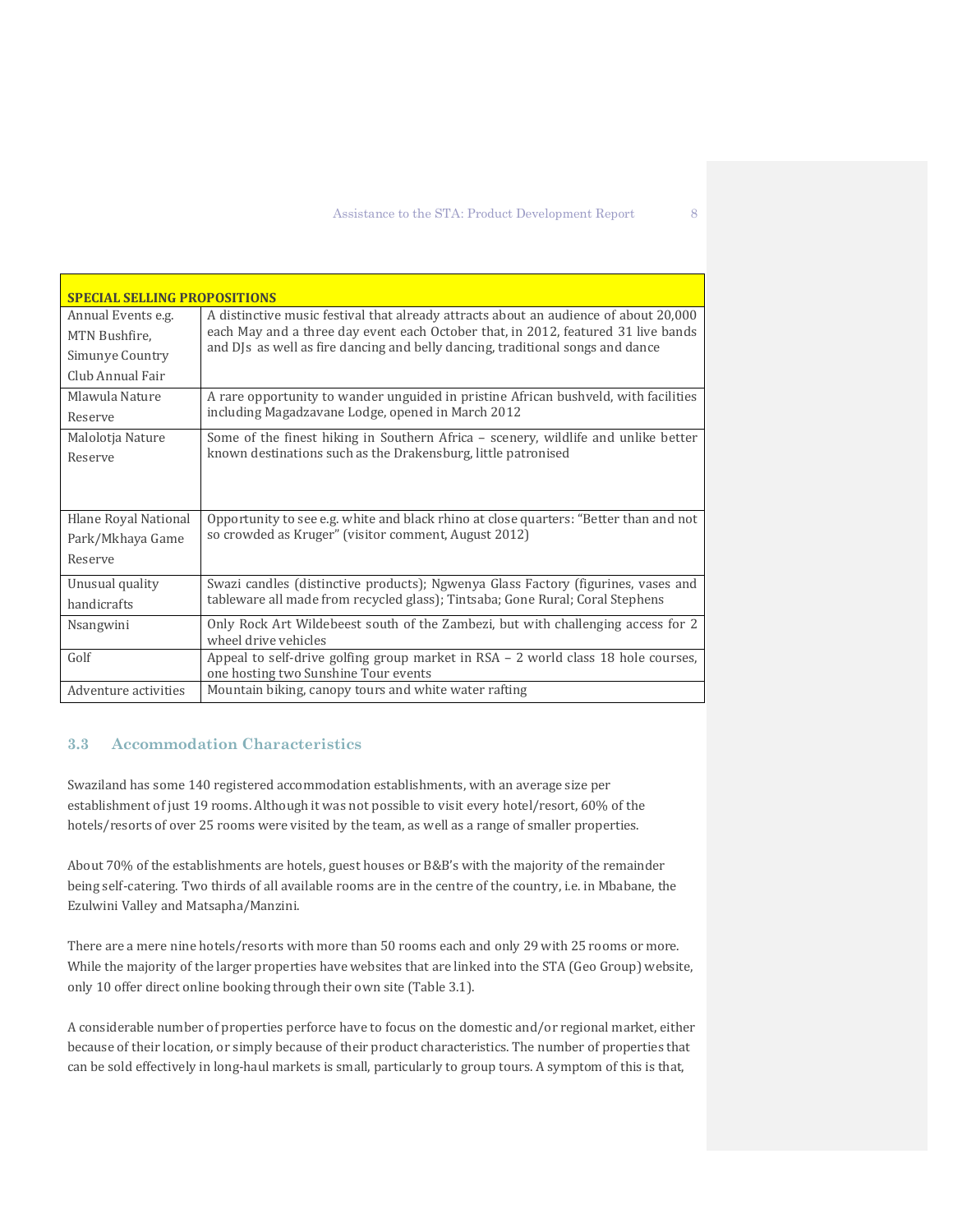| <b>SPECIAL SELLING PROPOSITIONS</b> |                                                                                                                                                                     |  |  |  |  |  |
|-------------------------------------|---------------------------------------------------------------------------------------------------------------------------------------------------------------------|--|--|--|--|--|
| Annual Events e.g.                  | A distinctive music festival that already attracts about an audience of about 20,000                                                                                |  |  |  |  |  |
| MTN Bushfire.                       | each May and a three day event each October that, in 2012, featured 31 live bands<br>and DJs as well as fire dancing and belly dancing, traditional songs and dance |  |  |  |  |  |
| Simunye Country                     |                                                                                                                                                                     |  |  |  |  |  |
| Club Annual Fair                    |                                                                                                                                                                     |  |  |  |  |  |
| Mlawula Nature                      | A rare opportunity to wander unguided in pristine African bushveld, with facilities                                                                                 |  |  |  |  |  |
| Reserve                             | including Magadzavane Lodge, opened in March 2012                                                                                                                   |  |  |  |  |  |
| Malolotja Nature                    | Some of the finest hiking in Southern Africa - scenery, wildlife and unlike better                                                                                  |  |  |  |  |  |
| Reserve                             | known destinations such as the Drakensburg, little patronised                                                                                                       |  |  |  |  |  |
|                                     |                                                                                                                                                                     |  |  |  |  |  |
|                                     |                                                                                                                                                                     |  |  |  |  |  |
| Hlane Royal National                | Opportunity to see e.g. white and black rhino at close quarters: "Better than and not                                                                               |  |  |  |  |  |
| Park/Mkhaya Game                    | so crowded as Kruger" (visitor comment, August 2012)                                                                                                                |  |  |  |  |  |
| Reserve                             |                                                                                                                                                                     |  |  |  |  |  |
| Unusual quality                     | Swazi candles (distinctive products); Ngwenya Glass Factory (figurines, vases and                                                                                   |  |  |  |  |  |
| handicrafts                         | tableware all made from recycled glass); Tintsaba; Gone Rural; Coral Stephens                                                                                       |  |  |  |  |  |
| Nsangwini                           | Only Rock Art Wildebeest south of the Zambezi, but with challenging access for 2                                                                                    |  |  |  |  |  |
|                                     | wheel drive vehicles                                                                                                                                                |  |  |  |  |  |
| Golf                                | Appeal to self-drive golfing group market in $RSA - 2$ world class 18 hole courses,<br>one hosting two Sunshine Tour events                                         |  |  |  |  |  |
| Adventure activities                | Mountain biking, canopy tours and white water rafting                                                                                                               |  |  |  |  |  |

# **3.3 Accommodation Characteristics**

Swaziland has some 140 registered accommodation establishments, with an average size per establishment of just 19 rooms. Although it was not possible to visit every hotel/resort, 60% of the hotels/resorts of over 25 rooms were visited by the team, as well as a range of smaller properties.

About 70% of the establishments are hotels, guest houses or B&B's with the majority of the remainder being self-catering. Two thirds of all available rooms are in the centre of the country, i.e. in Mbabane, the Ezulwini Valley and Matsapha/Manzini.

There are a mere nine hotels/resorts with more than 50 rooms each and only 29 with 25 rooms or more. While the majority of the larger properties have websites that are linked into the STA (Geo Group) website, only 10 offer direct online booking through their own site (Table 3.1).

A considerable number of properties perforce have to focus on the domestic and/or regional market, either because of their location, or simply because of their product characteristics. The number of properties that can be sold effectively in long-haul markets is small, particularly to group tours. A symptom of this is that,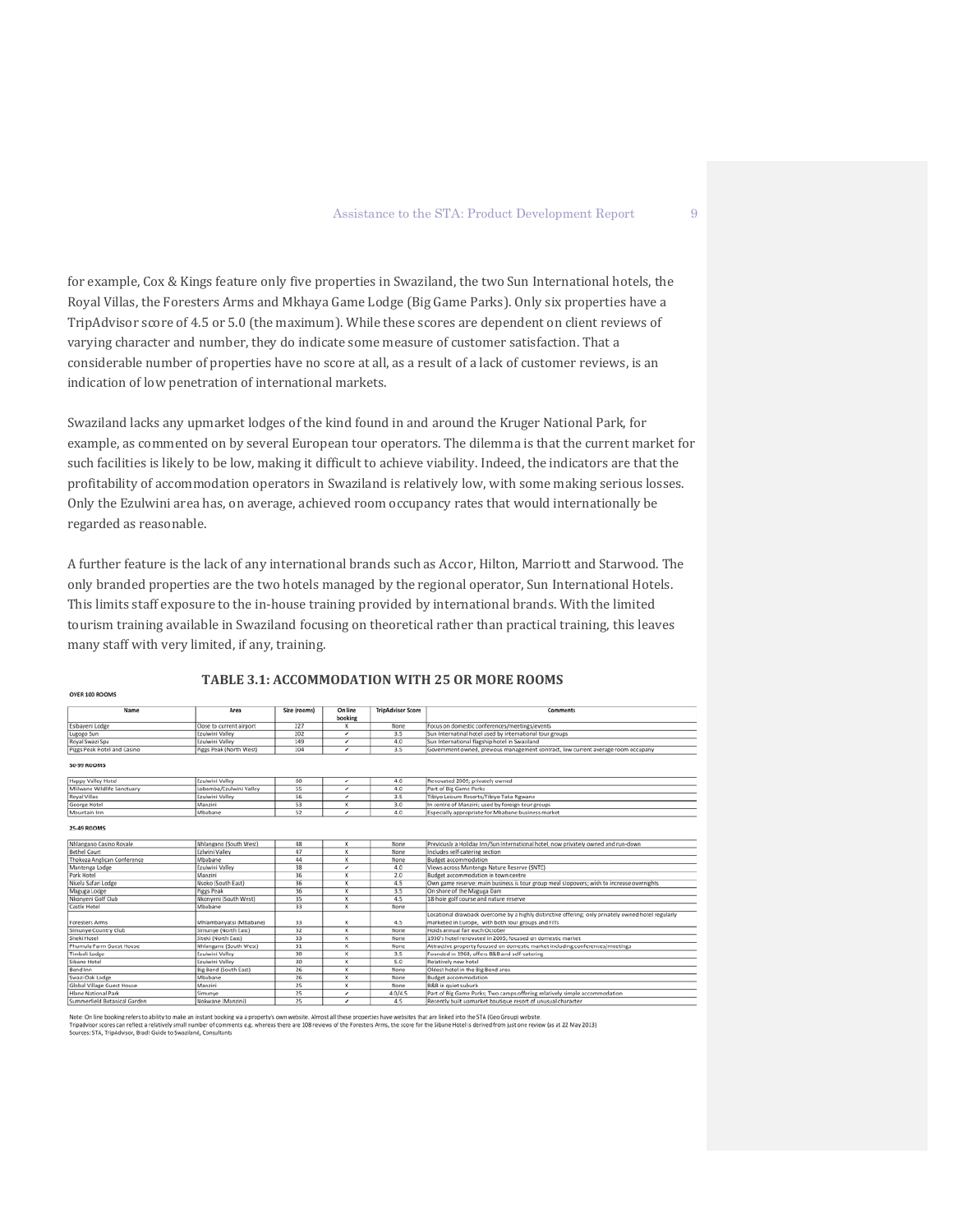for example, Cox & Kings feature only five properties in Swaziland, the two Sun International hotels, the Royal Villas, the Foresters Arms and Mkhaya Game Lodge (Big Game Parks). Only six properties have a TripAdvisor score of 4.5 or 5.0 (the maximum). While these scores are dependent on client reviews of varying character and number, they do indicate some measure of customer satisfaction. That a considerable number of properties have no score at all, as a result of a lack of customer reviews, is an indication of low penetration of international markets.

Swaziland lacks any upmarket lodges of the kind found in and around the Kruger National Park, for example, as commented on by several European tour operators. The dilemma is that the current market for such facilities is likely to be low, making it difficult to achieve viability. Indeed, the indicators are that the profitability of accommodation operators in Swaziland is relatively low, with some making serious losses. Only the Ezulwini area has, on average, achieved room occupancy rates that would internationally be regarded as reasonable.

A further feature is the lack of any international brands such as Accor, Hilton, Marriott and Starwood. The only branded properties are the two hotels managed by the regional operator, Sun International Hotels. This limits staff exposure to the in-house training provided by international brands. With the limited tourism training available in Swaziland focusing on theoretical rather than practical training, this leaves many staff with very limited, if any, training.

| Name                        | Area                     | Size (rooms) | On line                 | <b>TripAdvisor Score</b> | Comments                                                                                            |
|-----------------------------|--------------------------|--------------|-------------------------|--------------------------|-----------------------------------------------------------------------------------------------------|
|                             |                          |              | booking                 |                          |                                                                                                     |
| Esibayeni Lodge             | Close to current airport | 227          | X                       | None                     | Focus on domestic conferences/meetings/events                                                       |
| Lugogo Sun                  | Ezulwini Valley          | 202          | v                       | 3.5                      | Sun Internatinal hotel used by international tour groups                                            |
| Royal Swazi Spa             | Ezulwini Valley          | 149          | ◢                       | 4.0                      | Sun International flagship hotel in Swaziland                                                       |
| Piggs Peak Hotel and Casino | Piggs Peak (North West)  | 104          | v                       | 35                       | Government owned, previous management contract, low current average room occupany                   |
| <b>50-99 ROOMS</b>          |                          |              |                         |                          |                                                                                                     |
| Happy Valley Hotel          | Ezulwini Valley          | 60           | v                       | 4.0                      | Renovated 2009; privately owned                                                                     |
| Mlilwane Wildlife Sanctuary | Lobamba/Ezulwini Valley  | 55           | v                       | 4.0                      | Part of Big Game Parks                                                                              |
| Royal Villas                | Ezulwini Valley          | 56           | ٠                       | 3.5                      | Tibiyo Leisure Resorts/Tibiyo Taka Ngwane                                                           |
| George Hotel                | Manzini                  | 53           | х                       | 3.0                      | In centre of Manzini; used by foreign tour groups                                                   |
| Mountain Inn                | Mbabane                  | 52           | v                       | 4.0                      | Especially appropriate for Mbabane business market                                                  |
| <b>25-49 ROOMS</b>          |                          |              |                         |                          |                                                                                                     |
| Nhlangano Casino Royale     | Nhlangano (South West)   | 48           | $\overline{\mathbf{x}}$ | None                     | Previously a Holiday Inn/Sun International hotel, now privately owned and run-down                  |
| <b>Bethel Court</b>         | Ezhvini Valley           | 47           | x                       | None                     | Includes self-catering section                                                                      |
| Thokoza Anglican Conference | Mbabane                  | 44           | X                       | None                     | Budget accommodation                                                                                |
| Mantenga Lodge              | Ezulwini Valley          | 38           | v                       | 4.0                      | Views across Mantenga Nature Reserve (SNTC)                                                         |
| Park Hotel                  | Manzini                  | 36           | x                       | 2.0                      | Budget accommodation in town centre                                                                 |
| Nisela Safari Lodge         | Nsoko (South East)       | 36           | X                       | 4.5                      | Own game reserve; main business is tour group meal stopovers; wish to increase overnights           |
| Maguga Lodge                | Piggs Peak               | 36           | X                       | 3.5                      | On shore of the Maguga Dam                                                                          |
| Nkonveni Golf Club          | Nkonveni (South West)    | 35           | x                       | 4.5                      | 18-hole golf course and nature reserve                                                              |
| Castle Hotel                | Mbabane                  | 33           | $\overline{\mathbf{x}}$ | None                     |                                                                                                     |
|                             |                          |              |                         |                          | Locational drawback overcome by a highly distinctive offering: only privately owned hotel regularly |
| <b>Foresters Arms</b>       | Mhlambanyatsi (Mbabane)  | 33           | x                       | 4.5                      | marketed in Europe, with both tour groups and FITs                                                  |
| Simunye Country Club        | Simunye (North East)     | 32           | X                       | None                     | Holds annual fair each October                                                                      |
| Siteki Hotel                | Siteki (North East)      | 33           | x                       | None                     | 1930's hotel renovated in 2005: focused on domestic market                                          |
| Phumula Farm Guest House    | Nhlangano (South West)   | 31           | x                       | None                     | Attractive property focused on domestic market including conferences/meetings                       |
| Timbali Lodge               | Ezulwini Valley          | 30           | x                       | 3.5                      | Founded in 1968: offers B&B and self-catering                                                       |
| Sibane Hotel                | Ezulwini Valley          | 30           | x                       | 5.0                      | Relatively new hotel                                                                                |

vone<br>0/4

#### **TABLE 3.1: ACCOMMODATION WITH 25 OR MORE ROOMS**

t: On line booking refers to ability to make an instant booking<br>advisor scores can reflect a relatively small number of comm<br>rces: STA, TripAdvisor, Bradt Guide to Swaziland, Consultants ria a property's own website. Almost all these p<br>its e.g. whereas there are 108 reviews of the Fo re linked into the STA (Geo Group) websit ed from just one review (as at 22 May 2013)

diald Bay

**OUER 100 ROOM**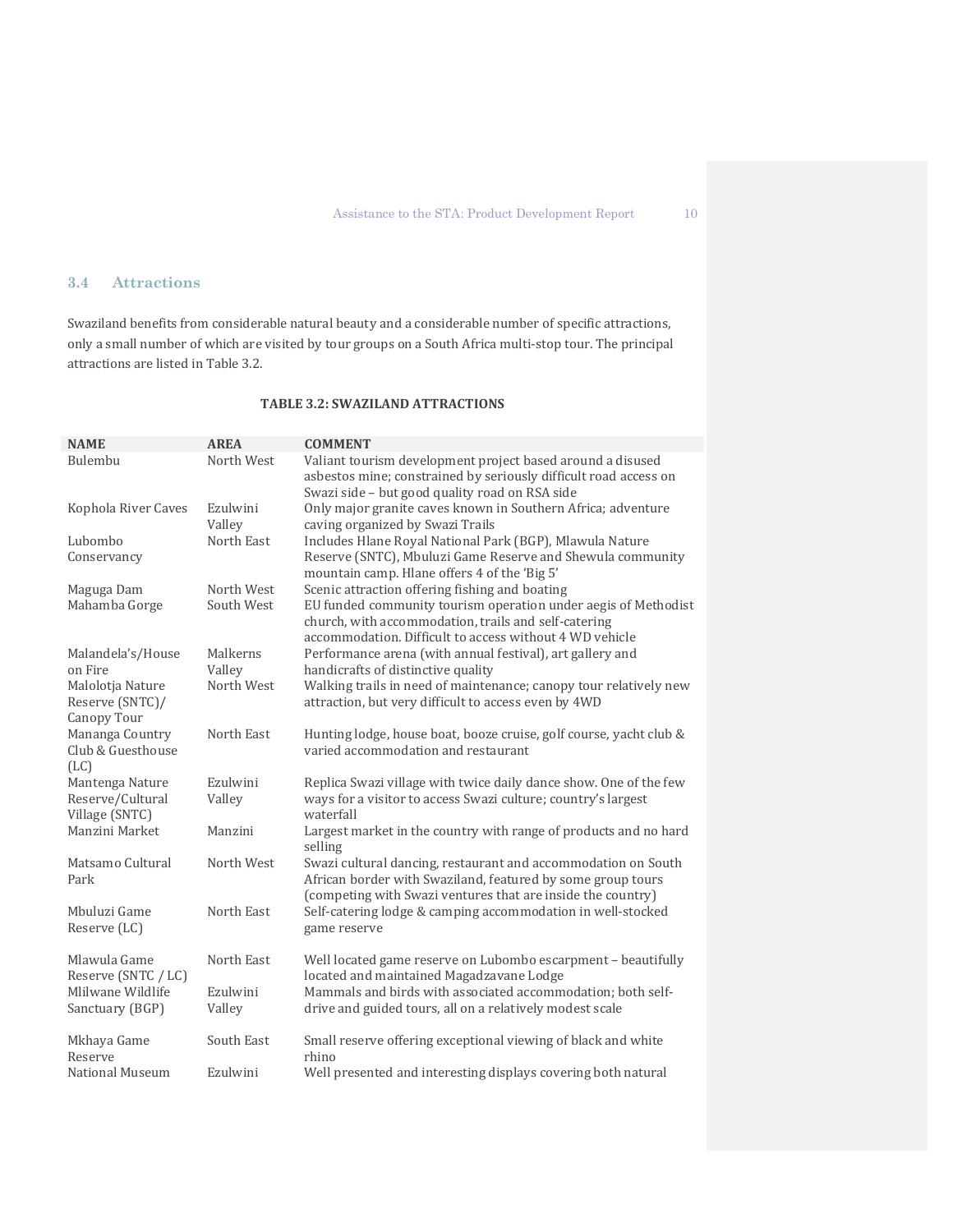# **3.4 Attractions**

Swaziland benefits from considerable natural beauty and a considerable number of specific attractions, only a small number of which are visited by tour groups on a South Africa multi-stop tour. The principal attractions are listed in Table 3.2.

# **TABLE 3.2: SWAZILAND ATTRACTIONS**

| <b>NAME</b>                                           | <b>AREA</b>              | <b>COMMENT</b>                                                                                                                                                                                                                      |
|-------------------------------------------------------|--------------------------|-------------------------------------------------------------------------------------------------------------------------------------------------------------------------------------------------------------------------------------|
| Bulembu                                               | North West               | Valiant tourism development project based around a disused<br>asbestos mine; constrained by seriously difficult road access on<br>Swazi side - but good quality road on RSA side                                                    |
| Kophola River Caves                                   | Ezulwini<br>Valley       | Only major granite caves known in Southern Africa; adventure<br>caving organized by Swazi Trails                                                                                                                                    |
| Lubombo<br>Conservancy                                | North East               | Includes Hlane Royal National Park (BGP), Mlawula Nature<br>Reserve (SNTC), Mbuluzi Game Reserve and Shewula community<br>mountain camp. Hlane offers 4 of the 'Big 5'                                                              |
| Maguga Dam<br>Mahamba Gorge                           | North West<br>South West | Scenic attraction offering fishing and boating<br>EU funded community tourism operation under aegis of Methodist<br>church, with accommodation, trails and self-catering<br>accommodation. Difficult to access without 4 WD vehicle |
| Malandela's/House<br>on Fire                          | Malkerns<br>Valley       | Performance arena (with annual festival), art gallery and<br>handicrafts of distinctive quality                                                                                                                                     |
| Malolotja Nature<br>Reserve (SNTC)/<br>Canopy Tour    | North West               | Walking trails in need of maintenance; canopy tour relatively new<br>attraction, but very difficult to access even by 4WD                                                                                                           |
| Mananga Country<br>Club & Guesthouse<br>(LC)          | North East               | Hunting lodge, house boat, booze cruise, golf course, yacht club &<br>varied accommodation and restaurant                                                                                                                           |
| Mantenga Nature<br>Reserve/Cultural<br>Village (SNTC) | Ezulwini<br>Valley       | Replica Swazi village with twice daily dance show. One of the few<br>ways for a visitor to access Swazi culture; country's largest<br>waterfall                                                                                     |
| Manzini Market                                        | Manzini                  | Largest market in the country with range of products and no hard<br>selling                                                                                                                                                         |
| Matsamo Cultural<br>Park                              | North West               | Swazi cultural dancing, restaurant and accommodation on South<br>African border with Swaziland, featured by some group tours<br>(competing with Swazi ventures that are inside the country)                                         |
| Mbuluzi Game<br>Reserve (LC)                          | North East               | Self-catering lodge & camping accommodation in well-stocked<br>game reserve                                                                                                                                                         |
| Mlawula Game<br>Reserve (SNTC / LC)                   | North East               | Well located game reserve on Lubombo escarpment - beautifully<br>located and maintained Magadzavane Lodge                                                                                                                           |
| Mlilwane Wildlife<br>Sanctuary (BGP)                  | Ezulwini<br>Valley       | Mammals and birds with associated accommodation; both self-<br>drive and guided tours, all on a relatively modest scale                                                                                                             |
| Mkhaya Game<br>Reserve                                | South East               | Small reserve offering exceptional viewing of black and white<br>rhino                                                                                                                                                              |
| National Museum                                       | Ezulwini                 | Well presented and interesting displays covering both natural                                                                                                                                                                       |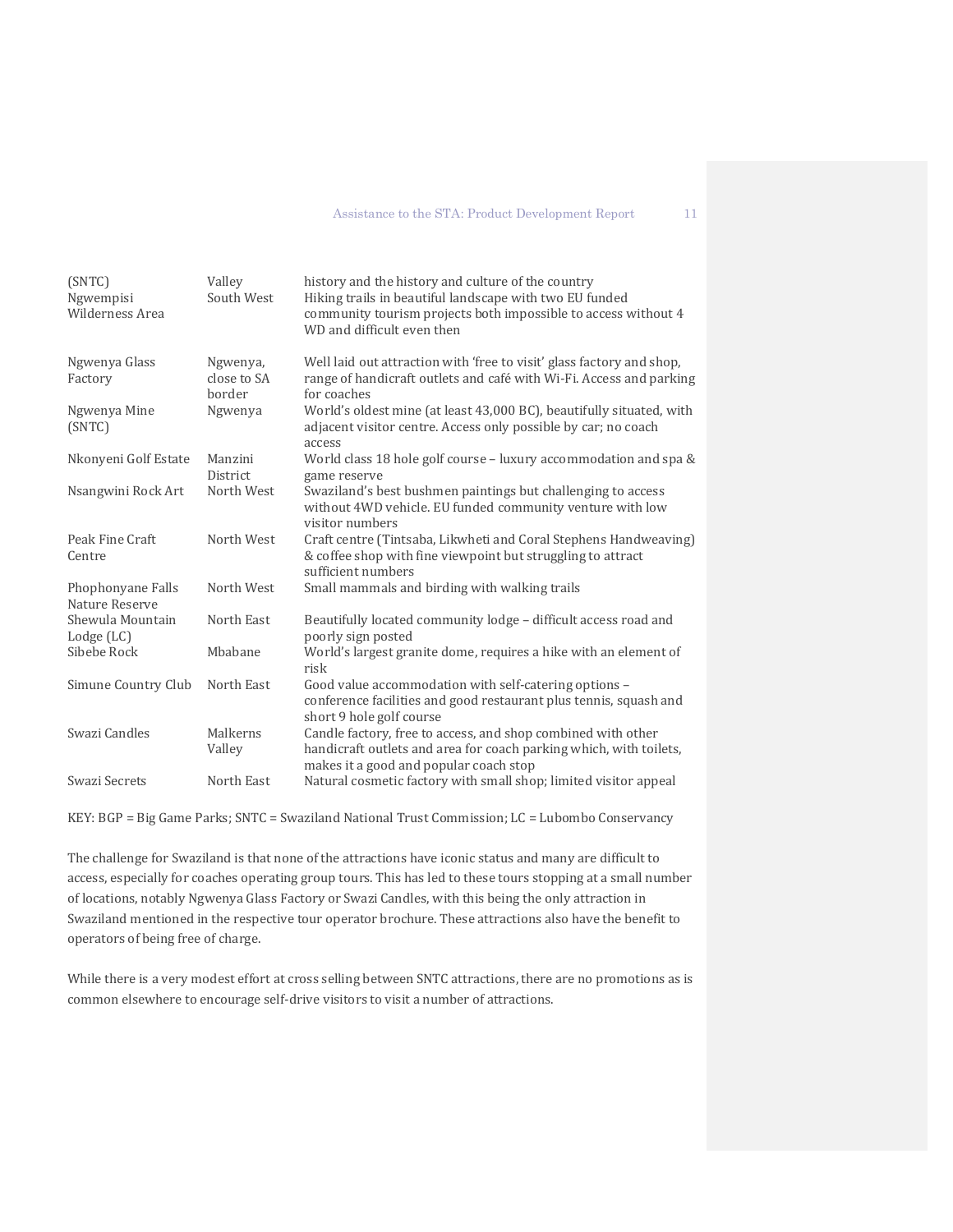| (SNTC)<br>Ngwempisi<br>Wilderness Area | Valley<br>South West              | history and the history and culture of the country<br>Hiking trails in beautiful landscape with two EU funded<br>community tourism projects both impossible to access without 4<br>WD and difficult even then |
|----------------------------------------|-----------------------------------|---------------------------------------------------------------------------------------------------------------------------------------------------------------------------------------------------------------|
| Ngwenya Glass<br>Factory               | Ngwenya,<br>close to SA<br>border | Well laid out attraction with 'free to visit' glass factory and shop,<br>range of handicraft outlets and café with Wi-Fi. Access and parking<br>for coaches                                                   |
| Ngwenya Mine<br>(SNTC)                 | Ngwenya                           | World's oldest mine (at least 43,000 BC), beautifully situated, with<br>adjacent visitor centre. Access only possible by car; no coach<br>access                                                              |
| Nkonyeni Golf Estate                   | Manzini<br><b>District</b>        | World class 18 hole golf course - luxury accommodation and spa &<br>game reserve                                                                                                                              |
| Nsangwini Rock Art                     | North West                        | Swaziland's best bushmen paintings but challenging to access<br>without 4WD vehicle. EU funded community venture with low<br>visitor numbers                                                                  |
| Peak Fine Craft<br>Centre              | North West                        | Craft centre (Tintsaba, Likwheti and Coral Stephens Handweaving)<br>& coffee shop with fine viewpoint but struggling to attract<br>sufficient numbers                                                         |
| Phophonyane Falls<br>Nature Reserve    | North West                        | Small mammals and birding with walking trails                                                                                                                                                                 |
| Shewula Mountain<br>Lodge (LC)         | North East                        | Beautifully located community lodge - difficult access road and<br>poorly sign posted                                                                                                                         |
| Sibebe Rock                            | Mbabane                           | World's largest granite dome, requires a hike with an element of<br>risk                                                                                                                                      |
| Simune Country Club                    | North East                        | Good value accommodation with self-catering options -<br>conference facilities and good restaurant plus tennis, squash and<br>short 9 hole golf course                                                        |
| Swazi Candles                          | Malkerns<br>Valley                | Candle factory, free to access, and shop combined with other<br>handicraft outlets and area for coach parking which, with toilets,<br>makes it a good and popular coach stop                                  |
| Swazi Secrets                          | North East                        | Natural cosmetic factory with small shop; limited visitor appeal                                                                                                                                              |

KEY: BGP = Big Game Parks; SNTC = Swaziland National Trust Commission; LC = Lubombo Conservancy

The challenge for Swaziland is that none of the attractions have iconic status and many are difficult to access, especially for coaches operating group tours. This has led to these tours stopping at a small number of locations, notably Ngwenya Glass Factory or Swazi Candles, with this being the only attraction in Swaziland mentioned in the respective tour operator brochure. These attractions also have the benefit to operators of being free of charge.

While there is a very modest effort at cross selling between SNTC attractions, there are no promotions as is common elsewhere to encourage self-drive visitors to visit a number of attractions.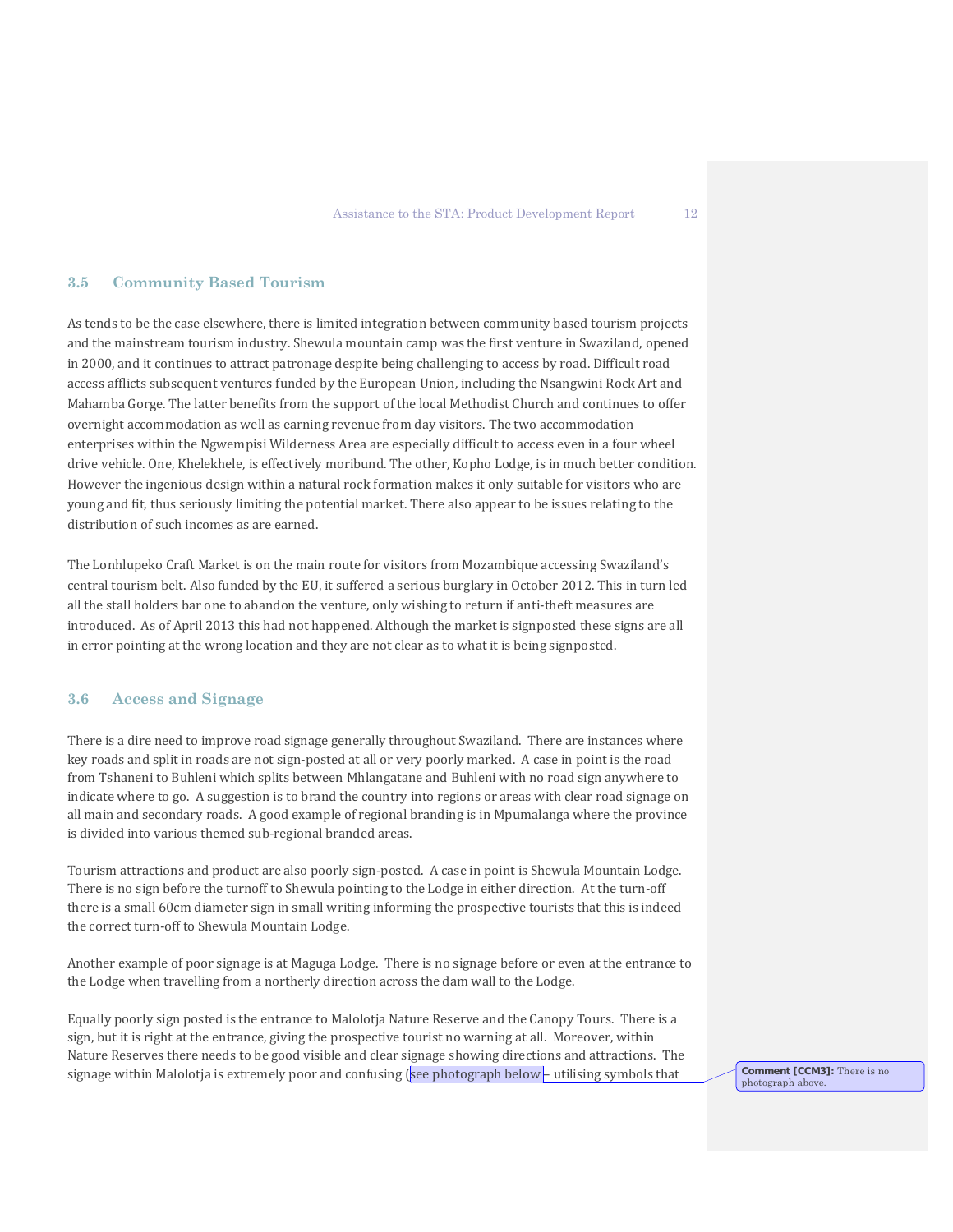#### **3.5 Community Based Tourism**

As tends to be the case elsewhere, there is limited integration between community based tourism projects and the mainstream tourism industry. Shewula mountain camp was the first venture in Swaziland, opened in 2000, and it continues to attract patronage despite being challenging to access by road. Difficult road access afflicts subsequent ventures funded by the European Union, including the Nsangwini Rock Art and Mahamba Gorge. The latter benefits from the support of the local Methodist Church and continues to offer overnight accommodation as well as earning revenue from day visitors. The two accommodation enterprises within the Ngwempisi Wilderness Area are especially difficult to access even in a four wheel drive vehicle. One, Khelekhele, is effectively moribund. The other, Kopho Lodge, is in much better condition. However the ingenious design within a natural rock formation makes it only suitable for visitors who are young and fit, thus seriously limiting the potential market. There also appear to be issues relating to the distribution of such incomes as are earned.

The Lonhlupeko Craft Market is on the main route for visitors from Mozambique accessing Swaziland's central tourism belt. Also funded by the EU, it suffered a serious burglary in October 2012. This in turn led all the stall holders bar one to abandon the venture, only wishing to return if anti-theft measures are introduced. As of April 2013 this had not happened. Although the market is signposted these signs are all in error pointing at the wrong location and they are not clear as to what it is being signposted.

### **3.6 Access and Signage**

There is a dire need to improve road signage generally throughout Swaziland. There are instances where key roads and split in roads are not sign-posted at all or very poorly marked. A case in point is the road from Tshaneni to Buhleni which splits between Mhlangatane and Buhleni with no road sign anywhere to indicate where to go. A suggestion is to brand the country into regions or areas with clear road signage on all main and secondary roads. A good example of regional branding is in Mpumalanga where the province is divided into various themed sub-regional branded areas.

Tourism attractions and product are also poorly sign-posted. A case in point is Shewula Mountain Lodge. There is no sign before the turnoff to Shewula pointing to the Lodge in either direction. At the turn-off there is a small 60cm diameter sign in small writing informing the prospective tourists that this is indeed the correct turn-off to Shewula Mountain Lodge.

Another example of poor signage is at Maguga Lodge. There is no signage before or even at the entrance to the Lodge when travelling from a northerly direction across the dam wall to the Lodge.

Equally poorly sign posted is the entrance to Malolotja Nature Reserve and the Canopy Tours. There is a sign, but it is right at the entrance, giving the prospective tourist no warning at all. Moreover, within Nature Reserves there needs to be good visible and clear signage showing directions and attractions. The signage within Malolotja is extremely poor and confusing (see photograph below – utilising symbols that **Comment [CCM3]**: There is no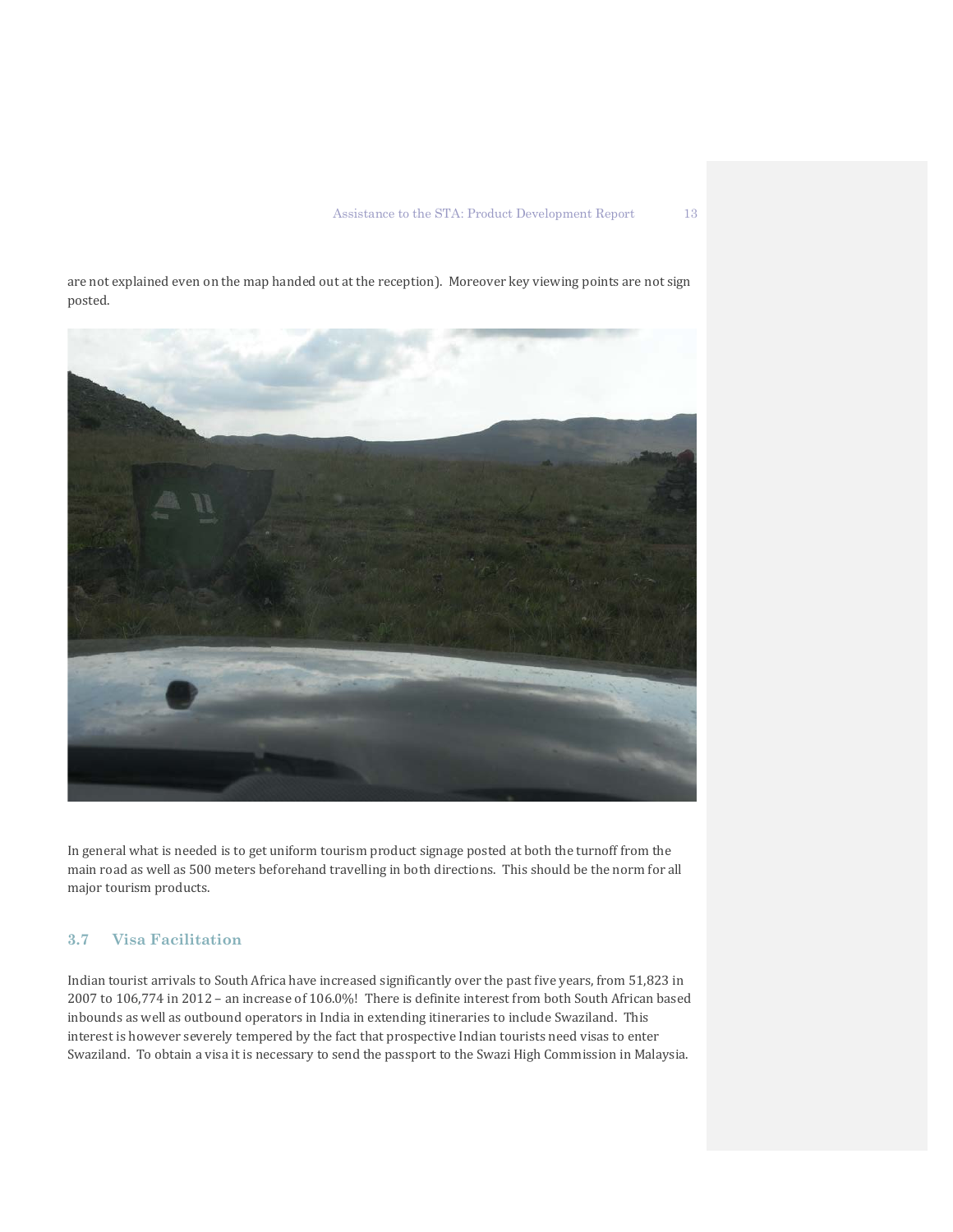are not explained even on the map handed out at the reception). Moreover key viewing points are not sign posted.



In general what is needed is to get uniform tourism product signage posted at both the turnoff from the main road as well as 500 meters beforehand travelling in both directions. This should be the norm for all major tourism products.

# **3.7 Visa Facilitation**

Indian tourist arrivals to South Africa have increased significantly over the past five years, from 51,823 in 2007 to 106,774 in 2012 – an increase of 106.0%! There is definite interest from both South African based inbounds as well as outbound operators in India in extending itineraries to include Swaziland. This interest is however severely tempered by the fact that prospective Indian tourists need visas to enter Swaziland. To obtain a visa it is necessary to send the passport to the Swazi High Commission in Malaysia.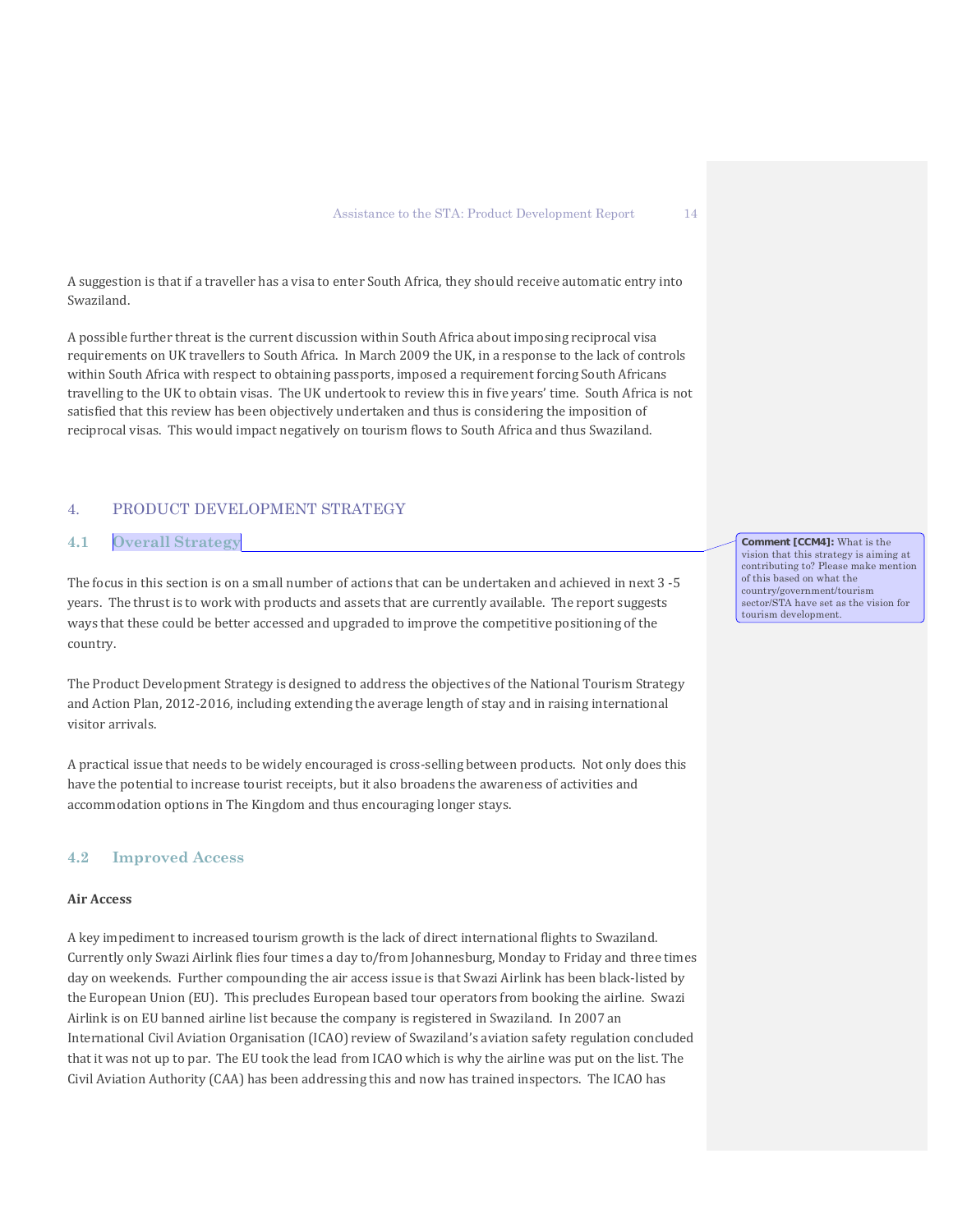A suggestion is that if a traveller has a visa to enter South Africa, they should receive automatic entry into Swaziland.

A possible further threat is the current discussion within South Africa about imposing reciprocal visa requirements on UK travellers to South Africa. In March 2009 the UK, in a response to the lack of controls within South Africa with respect to obtaining passports, imposed a requirement forcing South Africans travelling to the UK to obtain visas. The UK undertook to review this in five years' time. South Africa is not satisfied that this review has been objectively undertaken and thus is considering the imposition of reciprocal visas. This would impact negatively on tourism flows to South Africa and thus Swaziland.

### 4. PRODUCT DEVELOPMENT STRATEGY

# **4.1 Overall Strategy**

The focus in this section is on a small number of actions that can be undertaken and achieved in next 3 -5 years. The thrust is to work with products and assets that are currently available. The report suggests ways that these could be better accessed and upgraded to improve the competitive positioning of the country.

The Product Development Strategy is designed to address the objectives of the National Tourism Strategy and Action Plan, 2012-2016, including extending the average length of stay and in raising international visitor arrivals.

A practical issue that needs to be widely encouraged is cross-selling between products. Not only does this have the potential to increase tourist receipts, but it also broadens the awareness of activities and accommodation options in The Kingdom and thus encouraging longer stays.

#### **4.2 Improved Access**

#### **Air Access**

A key impediment to increased tourism growth is the lack of direct international flights to Swaziland. Currently only Swazi Airlink flies four times a day to/from Johannesburg, Monday to Friday and three times day on weekends. Further compounding the air access issue is that Swazi Airlink has been black-listed by the European Union (EU). This precludes European based tour operators from booking the airline. Swazi Airlink is on EU banned airline list because the company is registered in Swaziland. In 2007 an International Civil Aviation Organisation (ICAO) review of Swaziland's aviation safety regulation concluded that it was not up to par. The EU took the lead from ICAO which is why the airline was put on the list. The Civil Aviation Authority (CAA) has been addressing this and now has trained inspectors. The ICAO has

**Comment [CCM4]:** What is the vision that this strategy is aiming at contributing to? Please make mention of this based on what the country/government/tourism sector/STA have set as the vision for tourism development.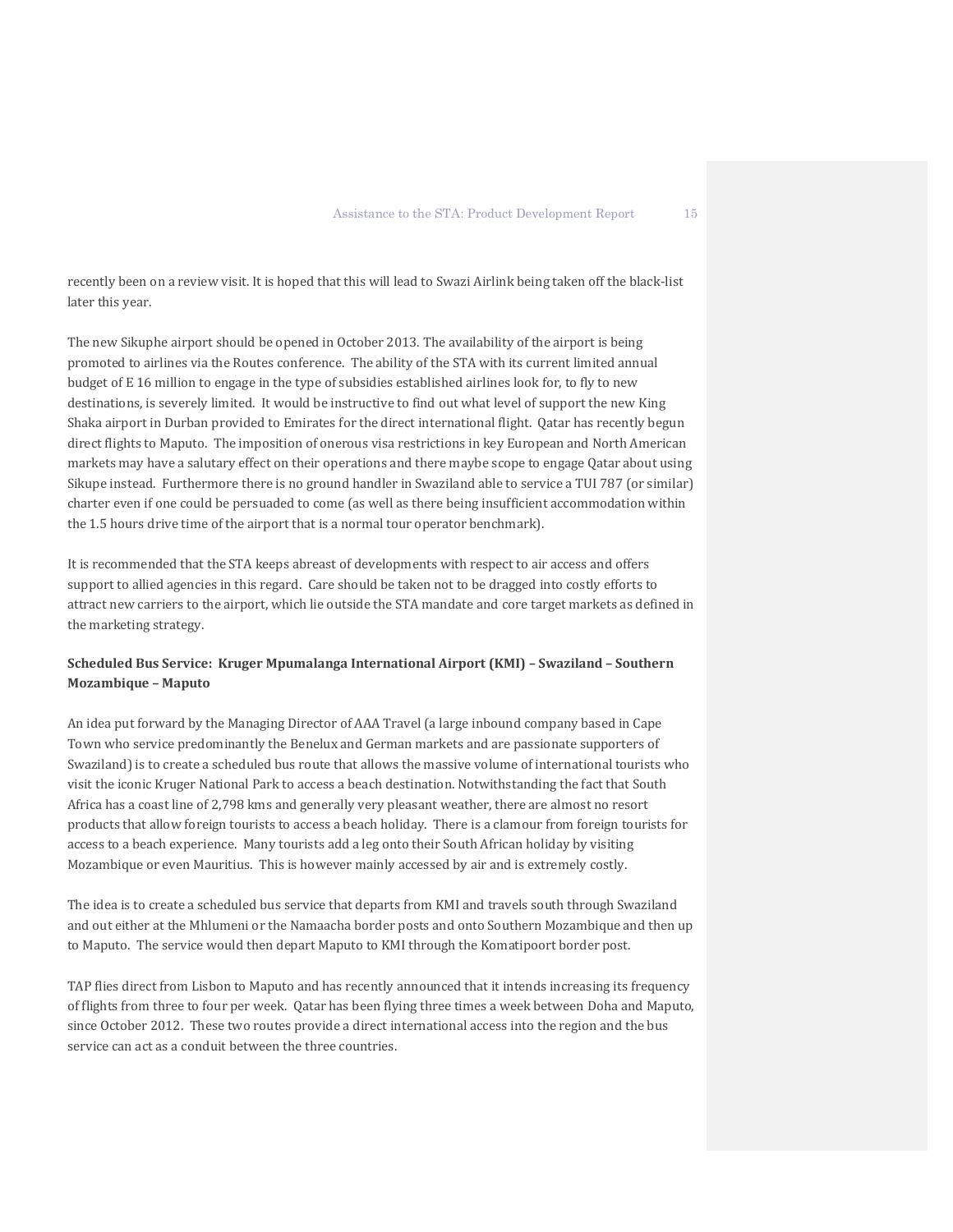recently been on a review visit. It is hoped that this will lead to Swazi Airlink being taken off the black-list later this year.

The new Sikuphe airport should be opened in October 2013. The availability of the airport is being promoted to airlines via the Routes conference. The ability of the STA with its current limited annual budget of E 16 million to engage in the type of subsidies established airlines look for, to fly to new destinations, is severely limited. It would be instructive to find out what level of support the new King Shaka airport in Durban provided to Emirates for the direct international flight. Qatar has recently begun direct flights to Maputo. The imposition of onerous visa restrictions in key European and North American markets may have a salutary effect on their operations and there maybe scope to engage Qatar about using Sikupe instead. Furthermore there is no ground handler in Swaziland able to service a TUI 787 (or similar) charter even if one could be persuaded to come (as well as there being insufficient accommodation within the 1.5 hours drive time of the airport that is a normal tour operator benchmark).

It is recommended that the STA keeps abreast of developments with respect to air access and offers support to allied agencies in this regard. Care should be taken not to be dragged into costly efforts to attract new carriers to the airport, which lie outside the STA mandate and core target markets as defined in the marketing strategy.

# **Scheduled Bus Service: Kruger Mpumalanga International Airport (KMI) – Swaziland – Southern Mozambique – Maputo**

An idea put forward by the Managing Director of AAA Travel (a large inbound company based in Cape Town who service predominantly the Benelux and German markets and are passionate supporters of Swaziland) is to create a scheduled bus route that allows the massive volume of international tourists who visit the iconic Kruger National Park to access a beach destination. Notwithstanding the fact that South Africa has a coast line of 2,798 kms and generally very pleasant weather, there are almost no resort products that allow foreign tourists to access a beach holiday. There is a clamour from foreign tourists for access to a beach experience. Many tourists add a leg onto their South African holiday by visiting Mozambique or even Mauritius. This is however mainly accessed by air and is extremely costly.

The idea is to create a scheduled bus service that departs from KMI and travels south through Swaziland and out either at the Mhlumeni or the Namaacha border posts and onto Southern Mozambique and then up to Maputo. The service would then depart Maputo to KMI through the Komatipoort border post.

TAP flies direct from Lisbon to Maputo and has recently announced that it intends increasing its frequency of flights from three to four per week. Qatar has been flying three times a week between Doha and Maputo, since October 2012. These two routes provide a direct international access into the region and the bus service can act as a conduit between the three countries.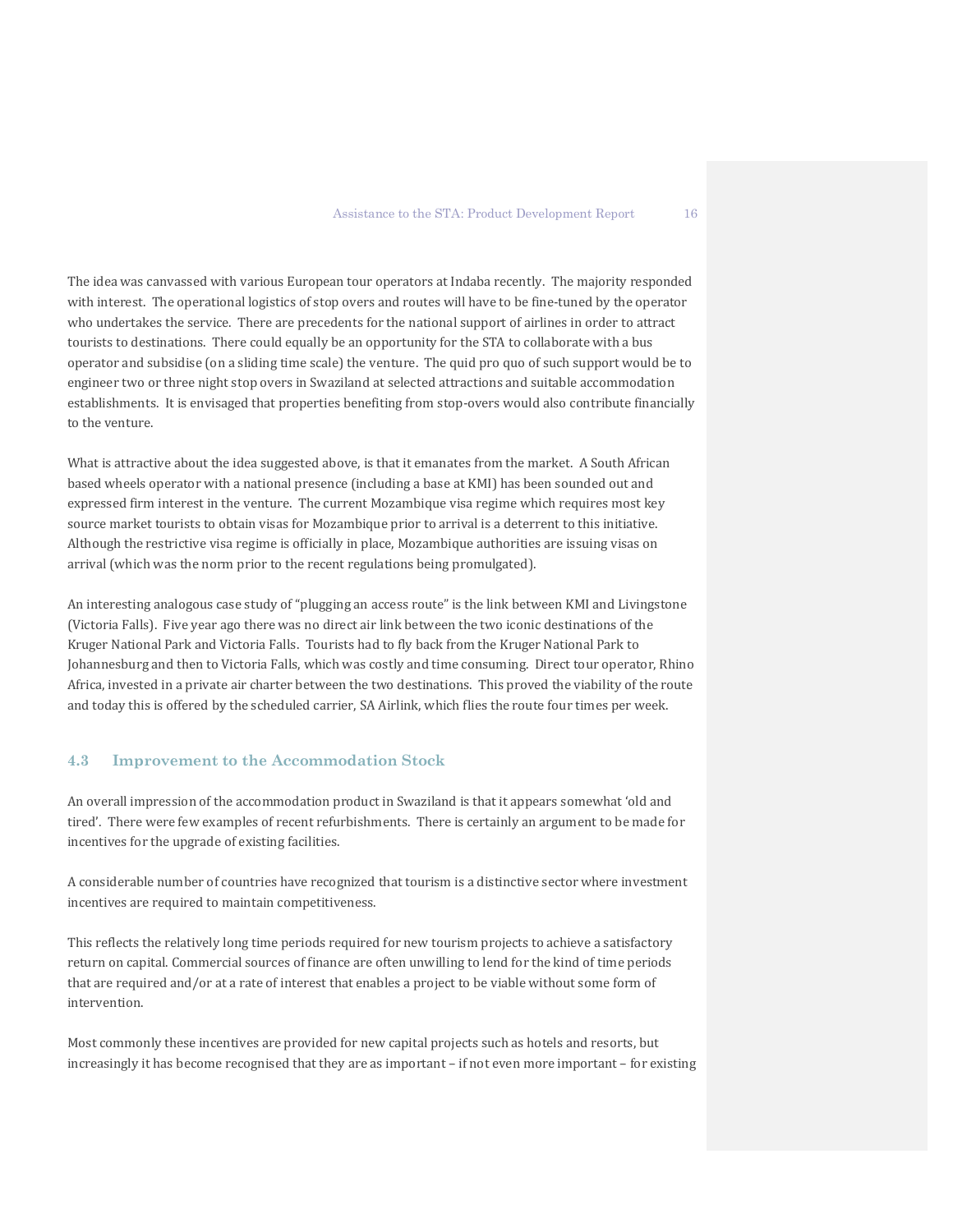The idea was canvassed with various European tour operators at Indaba recently. The majority responded with interest. The operational logistics of stop overs and routes will have to be fine-tuned by the operator who undertakes the service. There are precedents for the national support of airlines in order to attract tourists to destinations. There could equally be an opportunity for the STA to collaborate with a bus operator and subsidise (on a sliding time scale) the venture. The quid pro quo of such support would be to engineer two or three night stop overs in Swaziland at selected attractions and suitable accommodation establishments. It is envisaged that properties benefiting from stop-overs would also contribute financially to the venture.

What is attractive about the idea suggested above, is that it emanates from the market. A South African based wheels operator with a national presence (including a base at KMI) has been sounded out and expressed firm interest in the venture. The current Mozambique visa regime which requires most key source market tourists to obtain visas for Mozambique prior to arrival is a deterrent to this initiative. Although the restrictive visa regime is officially in place, Mozambique authorities are issuing visas on arrival (which was the norm prior to the recent regulations being promulgated).

An interesting analogous case study of "plugging an access route" is the link between KMI and Livingstone (Victoria Falls). Five year ago there was no direct air link between the two iconic destinations of the Kruger National Park and Victoria Falls. Tourists had to fly back from the Kruger National Park to Johannesburg and then to Victoria Falls, which was costly and time consuming. Direct tour operator, Rhino Africa, invested in a private air charter between the two destinations. This proved the viability of the route and today this is offered by the scheduled carrier, SA Airlink, which flies the route four times per week.

### **4.3 Improvement to the Accommodation Stock**

An overall impression of the accommodation product in Swaziland is that it appears somewhat 'old and tired'. There were few examples of recent refurbishments. There is certainly an argument to be made for incentives for the upgrade of existing facilities.

A considerable number of countries have recognized that tourism is a distinctive sector where investment incentives are required to maintain competitiveness.

This reflects the relatively long time periods required for new tourism projects to achieve a satisfactory return on capital. Commercial sources of finance are often unwilling to lend for the kind of time periods that are required and/or at a rate of interest that enables a project to be viable without some form of intervention.

Most commonly these incentives are provided for new capital projects such as hotels and resorts, but increasingly it has become recognised that they are as important – if not even more important – for existing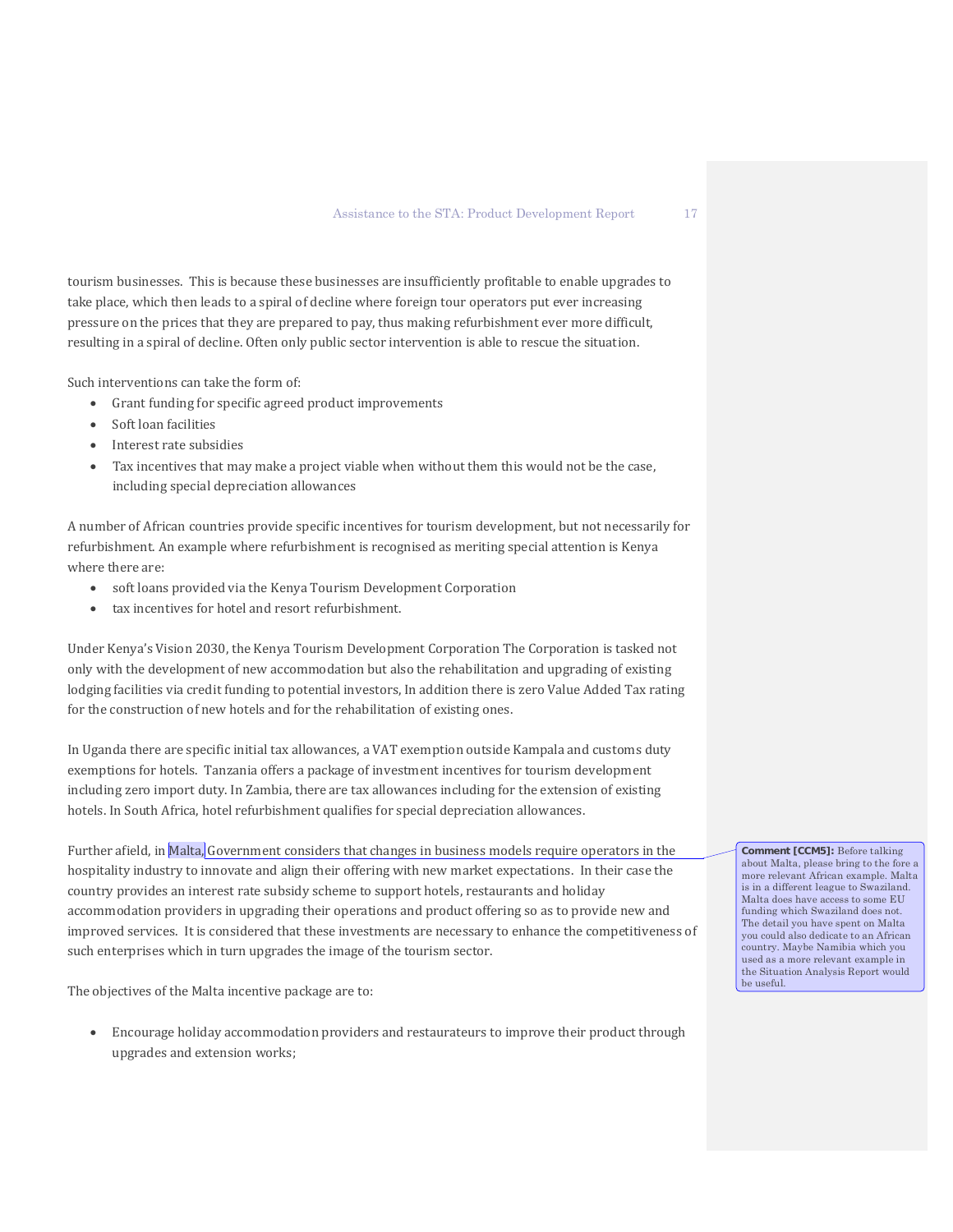tourism businesses. This is because these businesses are insufficiently profitable to enable upgrades to take place, which then leads to a spiral of decline where foreign tour operators put ever increasing pressure on the prices that they are prepared to pay, thus making refurbishment ever more difficult, resulting in a spiral of decline. Often only public sector intervention is able to rescue the situation.

Such interventions can take the form of:

- Grant funding for specific agreed product improvements
- Soft loan facilities
- Interest rate subsidies
- Tax incentives that may make a project viable when without them this would not be the case, including special depreciation allowances

A number of African countries provide specific incentives for tourism development, but not necessarily for refurbishment. An example where refurbishment is recognised as meriting special attention is Kenya where there are:

- soft loans provided via the Kenya Tourism Development Corporation
- tax incentives for hotel and resort refurbishment.

Under Kenya's Vision 2030, the Kenya Tourism Development Corporation The Corporation is tasked not only with the development of new accommodation but also the rehabilitation and upgrading of existing lodging facilities via credit funding to potential investors, In addition there is zero Value Added Tax rating for the construction of new hotels and for the rehabilitation of existing ones.

In Uganda there are specific initial tax allowances, a VAT exemption outside Kampala and customs duty exemptions for hotels. Tanzania offers a package of investment incentives for tourism development including zero import duty. In Zambia, there are tax allowances including for the extension of existing hotels. In South Africa, hotel refurbishment qualifies for special depreciation allowances.

Further afield, in Malta, Government considers that changes in business models require operators in the hospitality industry to innovate and align their offering with new market expectations. In their case the country provides an interest rate subsidy scheme to support hotels, restaurants and holiday accommodation providers in upgrading their operations and product offering so as to provide new and improved services. It is considered that these investments are necessary to enhance the competitiveness of such enterprises which in turn upgrades the image of the tourism sector.

The objectives of the Malta incentive package are to:

• Encourage holiday accommodation providers and restaurateurs to improve their product through upgrades and extension works;

**Comment [CCM5]:** Before talking about Malta, please bring to the fore a more relevant African example. Malta is in a different league to Swaziland. Malta does have access to some EU funding which Swaziland does not. The detail you have spent on Malta you could also dedicate to an African country. Maybe Namibia which you used as a more relevant example in the Situation Analysis Report would be useful.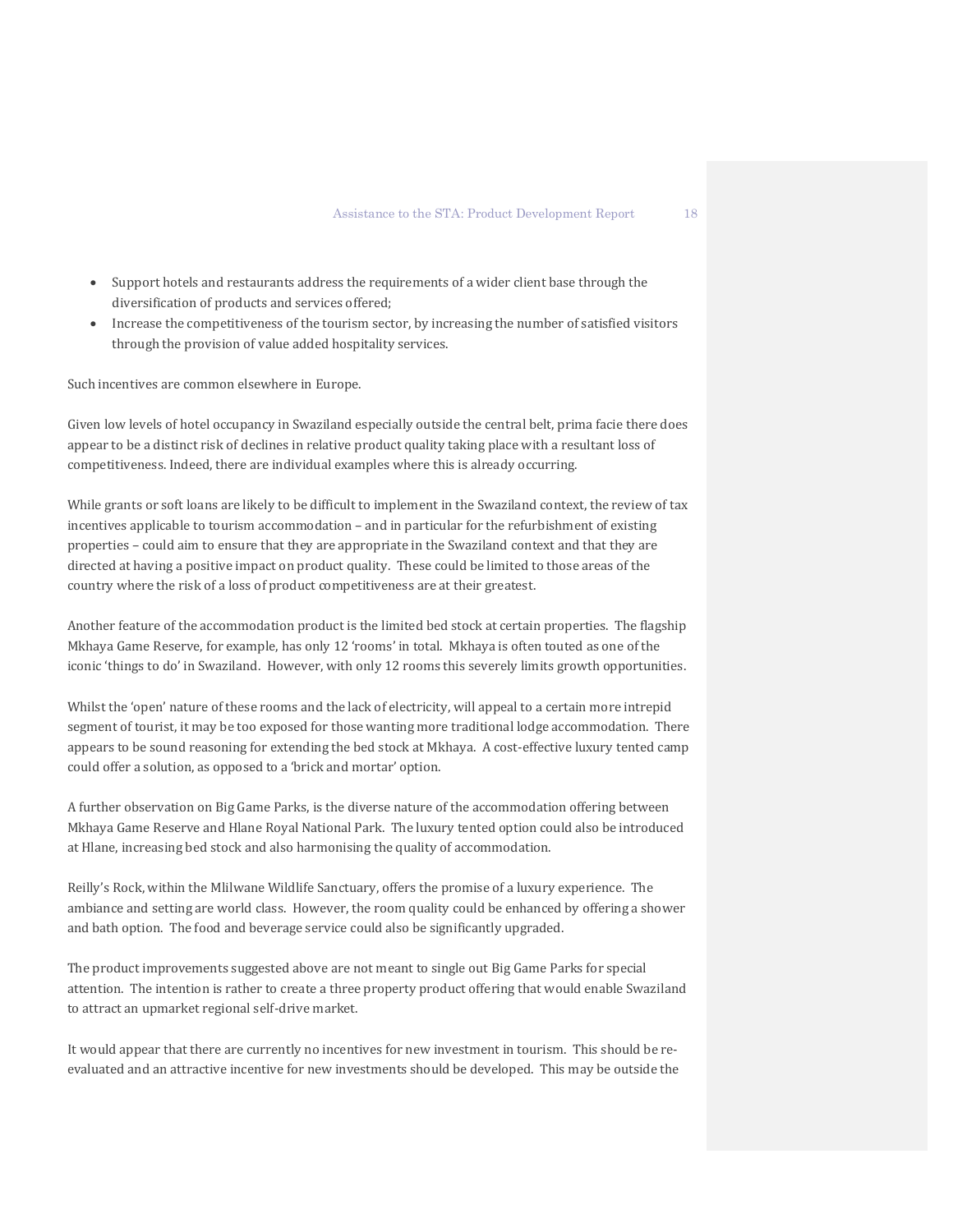- Support hotels and restaurants address the requirements of a wider client base through the diversification of products and services offered;
- Increase the competitiveness of the tourism sector, by increasing the number of satisfied visitors through the provision of value added hospitality services.

Such incentives are common elsewhere in Europe.

Given low levels of hotel occupancy in Swaziland especially outside the central belt, prima facie there does appear to be a distinct risk of declines in relative product quality taking place with a resultant loss of competitiveness. Indeed, there are individual examples where this is already occurring.

While grants or soft loans are likely to be difficult to implement in the Swaziland context, the review of tax incentives applicable to tourism accommodation – and in particular for the refurbishment of existing properties – could aim to ensure that they are appropriate in the Swaziland context and that they are directed at having a positive impact on product quality. These could be limited to those areas of the country where the risk of a loss of product competitiveness are at their greatest.

Another feature of the accommodation product is the limited bed stock at certain properties. The flagship Mkhaya Game Reserve, for example, has only 12 'rooms' in total. Mkhaya is often touted as one of the iconic 'things to do' in Swaziland. However, with only 12 rooms this severely limits growth opportunities.

Whilst the 'open' nature of these rooms and the lack of electricity, will appeal to a certain more intrepid segment of tourist, it may be too exposed for those wanting more traditional lodge accommodation. There appears to be sound reasoning for extending the bed stock at Mkhaya. A cost-effective luxury tented camp could offer a solution, as opposed to a 'brick and mortar' option.

A further observation on Big Game Parks, is the diverse nature of the accommodation offering between Mkhaya Game Reserve and Hlane Royal National Park. The luxury tented option could also be introduced at Hlane, increasing bed stock and also harmonising the quality of accommodation.

Reilly's Rock, within the Mlilwane Wildlife Sanctuary, offers the promise of a luxury experience. The ambiance and setting are world class. However, the room quality could be enhanced by offering a shower and bath option. The food and beverage service could also be significantly upgraded.

The product improvements suggested above are not meant to single out Big Game Parks for special attention. The intention is rather to create a three property product offering that would enable Swaziland to attract an upmarket regional self-drive market.

It would appear that there are currently no incentives for new investment in tourism. This should be reevaluated and an attractive incentive for new investments should be developed. This may be outside the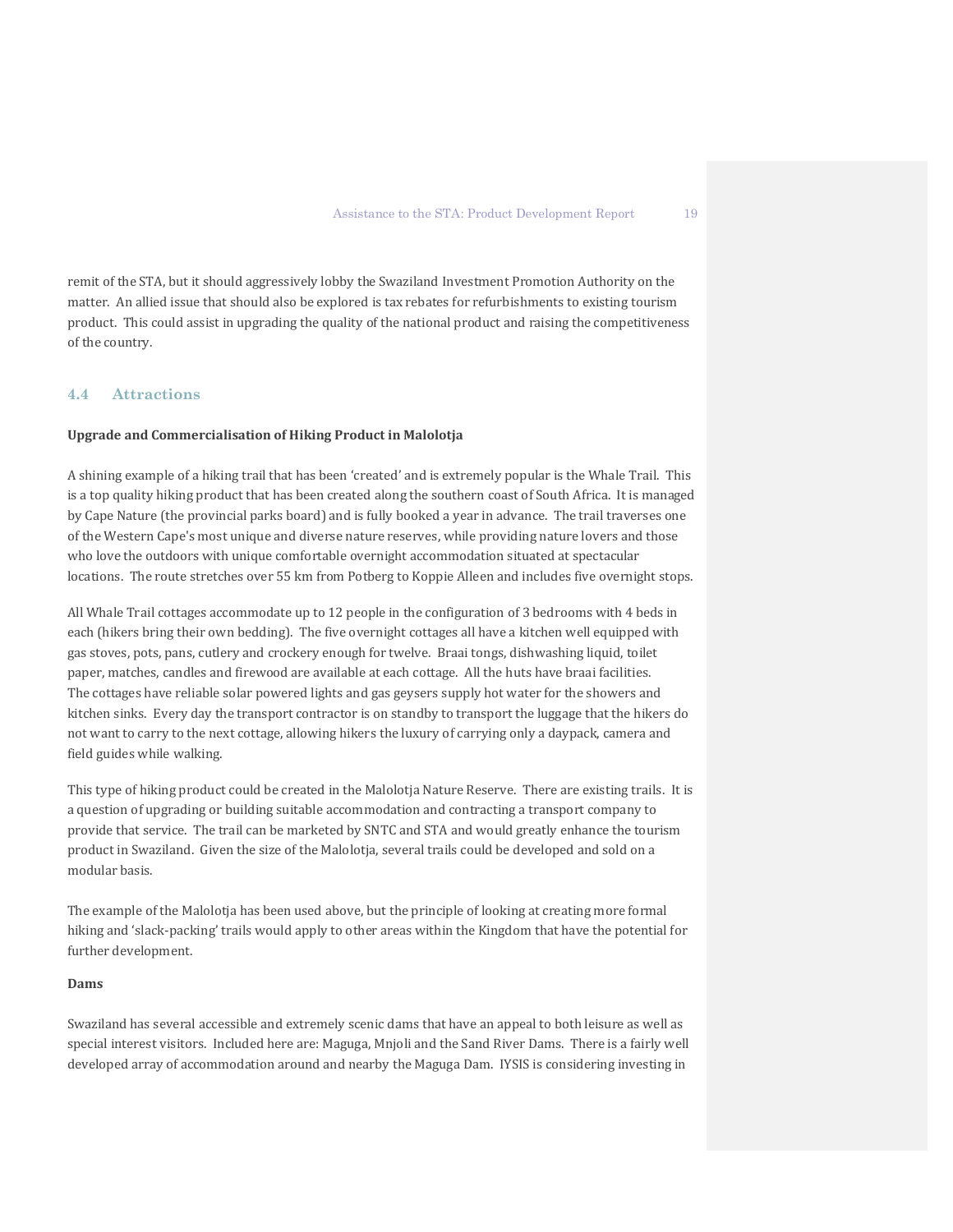remit of the STA, but it should aggressively lobby the Swaziland Investment Promotion Authority on the matter. An allied issue that should also be explored is tax rebates for refurbishments to existing tourism product. This could assist in upgrading the quality of the national product and raising the competitiveness of the country.

### **4.4 Attractions**

#### **Upgrade and Commercialisation of Hiking Product in Malolotja**

A shining example of a hiking trail that has been 'created' and is extremely popular is the Whale Trail. This is a top quality hiking product that has been created along the southern coast of South Africa. It is managed by Cape Nature (the provincial parks board) and is fully booked a year in advance. The trail traverses one of the Western Cape's most unique and diverse nature reserves, while providing nature lovers and those who love the outdoors with unique comfortable overnight accommodation situated at spectacular locations. The route stretches over 55 km from Potberg to Koppie Alleen and includes five overnight stops.

All Whale Trail cottages accommodate up to 12 people in the configuration of 3 bedrooms with 4 beds in each (hikers bring their own bedding). The five overnight cottages all have a kitchen well equipped with gas stoves, pots, pans, cutlery and crockery enough for twelve. Braai tongs, dishwashing liquid, toilet paper, matches, candles and firewood are available at each cottage. All the huts have braai facilities. The cottages have reliable solar powered lights and gas geysers supply hot water for the showers and kitchen sinks. Every day the transport contractor is on standby to transport the luggage that the hikers do not want to carry to the next cottage, allowing hikers the luxury of carrying only a daypack, camera and field guides while walking.

This type of hiking product could be created in the Malolotja Nature Reserve. There are existing trails. It is a question of upgrading or building suitable accommodation and contracting a transport company to provide that service. The trail can be marketed by SNTC and STA and would greatly enhance the tourism product in Swaziland. Given the size of the Malolotia, several trails could be developed and sold on a modular basis.

The example of the Malolotja has been used above, but the principle of looking at creating more formal hiking and 'slack-packing' trails would apply to other areas within the Kingdom that have the potential for further development.

#### **Dams**

Swaziland has several accessible and extremely scenic dams that have an appeal to both leisure as well as special interest visitors. Included here are: Maguga, Mnjoli and the Sand River Dams. There is a fairly well developed array of accommodation around and nearby the Maguga Dam. IYSIS is considering investing in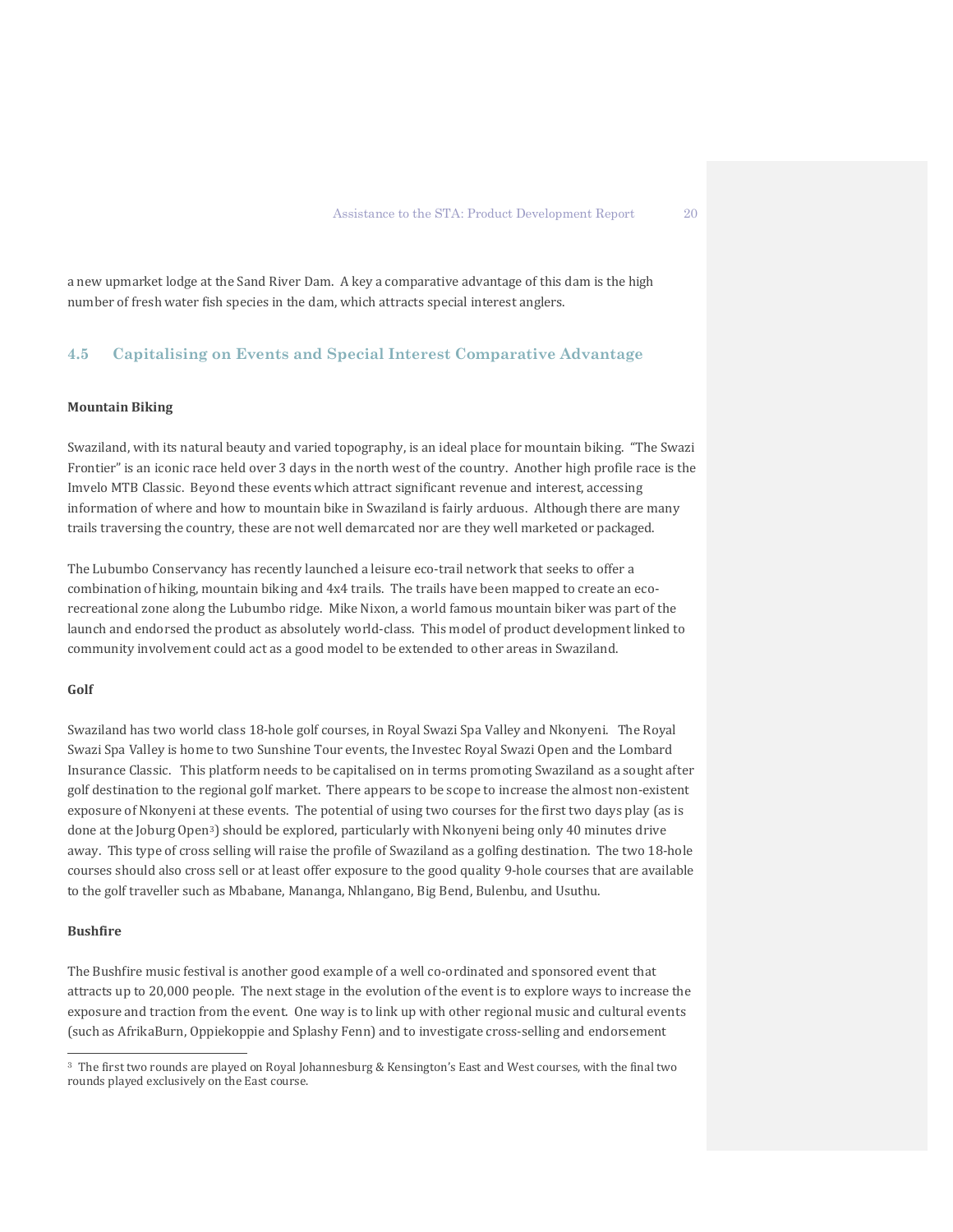a new upmarket lodge at the Sand River Dam. A key a comparative advantage of this dam is the high number of fresh water fish species in the dam, which attracts special interest anglers.

# **4.5 Capitalising on Events and Special Interest Comparative Advantage**

### **Mountain Biking**

Swaziland, with its natural beauty and varied topography, is an ideal place for mountain biking. "The Swazi Frontier" is an iconic race held over 3 days in the north west of the country. Another high profile race is the Imvelo MTB Classic. Beyond these events which attract significant revenue and interest, accessing information of where and how to mountain bike in Swaziland is fairly arduous. Although there are many trails traversing the country, these are not well demarcated nor are they well marketed or packaged.

The Lubumbo Conservancy has recently launched a leisure eco-trail network that seeks to offer a combination of hiking, mountain biking and 4x4 trails. The trails have been mapped to create an ecorecreational zone along the Lubumbo ridge. Mike Nixon, a world famous mountain biker was part of the launch and endorsed the product as absolutely world-class. This model of product development linked to community involvement could act as a good model to be extended to other areas in Swaziland.

#### **Golf**

Swaziland has two world class 18-hole golf courses, in Royal Swazi Spa Valley and Nkonyeni. The Royal Swazi Spa Valley is home to two Sunshine Tour events, the Investec Royal Swazi Open and the Lombard Insurance Classic. This platform needs to be capitalised on in terms promoting Swaziland as a sought after golf destination to the regional golf market. There appears to be scope to increase the almost non-existent exposure of Nkonyeni at these events. The potential of using two courses for the first two days play (as is done at the Joburg Open[3](#page-21-0)) should be explored, particularly with Nkonyeni being only 40 minutes drive away. This type of cross selling will raise the profile of Swaziland as a golfing destination. The two 18-hole courses should also cross sell or at least offer exposure to the good quality 9-hole courses that are available to the golf traveller such as Mbabane, Mananga, Nhlangano, Big Bend, Bulenbu, and Usuthu.

#### **Bushfire**

 $\overline{a}$ 

The Bushfire music festival is another good example of a well co-ordinated and sponsored event that attracts up to 20,000 people. The next stage in the evolution of the event is to explore ways to increase the exposure and traction from the event. One way is to link up with other regional music and cultural events (such as AfrikaBurn, Oppiekoppie and Splashy Fenn) and to investigate cross-selling and endorsement

<span id="page-21-0"></span><sup>3</sup> The first two rounds are played on Royal Johannesburg & Kensington's East and West courses, with the final two rounds played exclusively on the East course.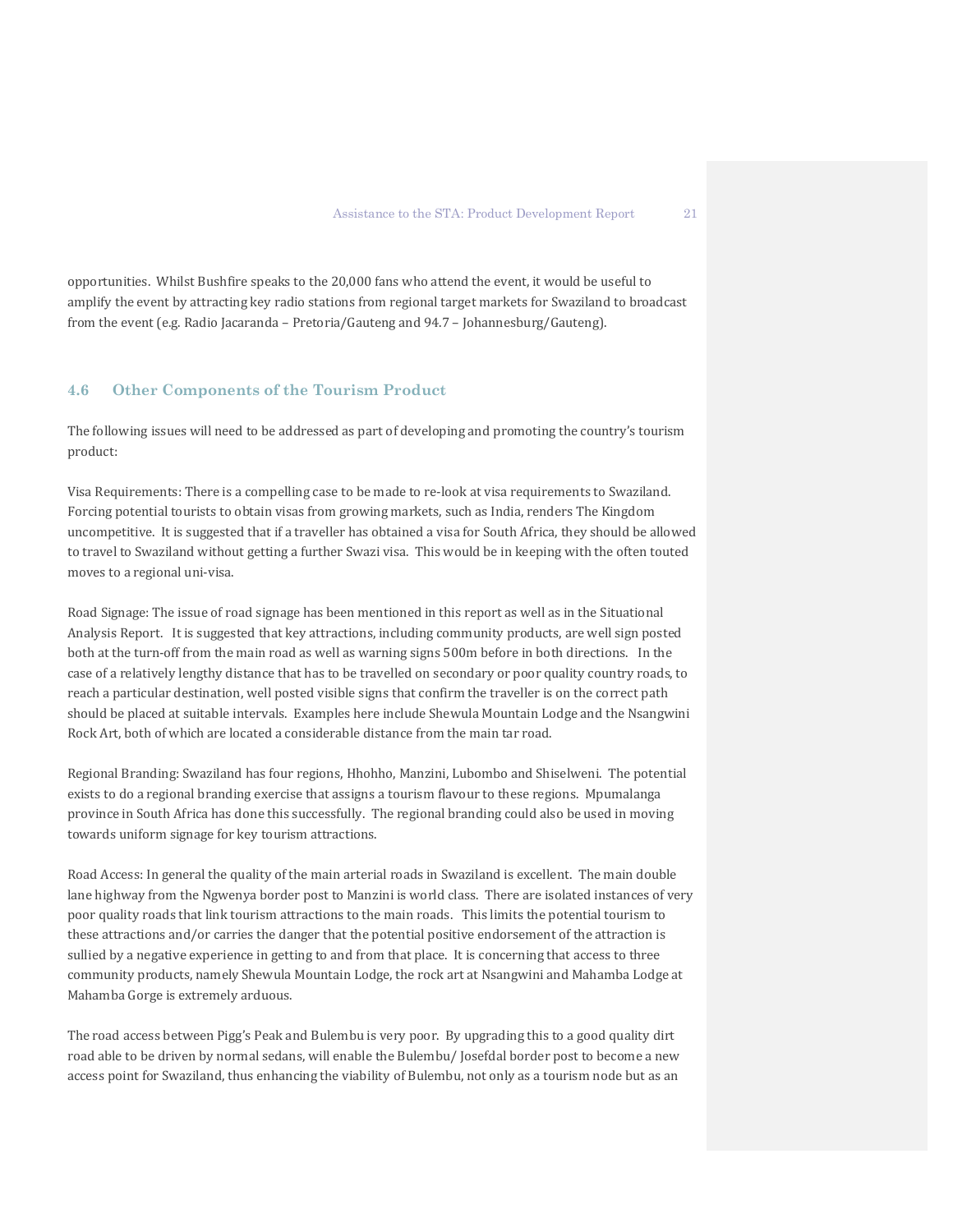opportunities. Whilst Bushfire speaks to the 20,000 fans who attend the event, it would be useful to amplify the event by attracting key radio stations from regional target markets for Swaziland to broadcast from the event (e.g. Radio Jacaranda – Pretoria/Gauteng and 94.7 – Johannesburg/Gauteng).

#### **4.6 Other Components of the Tourism Product**

The following issues will need to be addressed as part of developing and promoting the country's tourism product:

Visa Requirements: There is a compelling case to be made to re-look at visa requirements to Swaziland. Forcing potential tourists to obtain visas from growing markets, such as India, renders The Kingdom uncompetitive. It is suggested that if a traveller has obtained a visa for South Africa, they should be allowed to travel to Swaziland without getting a further Swazi visa. This would be in keeping with the often touted moves to a regional uni-visa.

Road Signage: The issue of road signage has been mentioned in this report as well as in the Situational Analysis Report. It is suggested that key attractions, including community products, are well sign posted both at the turn-off from the main road as well as warning signs 500m before in both directions. In the case of a relatively lengthy distance that has to be travelled on secondary or poor quality country roads, to reach a particular destination, well posted visible signs that confirm the traveller is on the correct path should be placed at suitable intervals. Examples here include Shewula Mountain Lodge and the Nsangwini Rock Art, both of which are located a considerable distance from the main tar road.

Regional Branding: Swaziland has four regions, Hhohho, Manzini, Lubombo and Shiselweni. The potential exists to do a regional branding exercise that assigns a tourism flavour to these regions. Mpumalanga province in South Africa has done this successfully. The regional branding could also be used in moving towards uniform signage for key tourism attractions.

Road Access: In general the quality of the main arterial roads in Swaziland is excellent. The main double lane highway from the Ngwenya border post to Manzini is world class. There are isolated instances of very poor quality roads that link tourism attractions to the main roads. This limits the potential tourism to these attractions and/or carries the danger that the potential positive endorsement of the attraction is sullied by a negative experience in getting to and from that place. It is concerning that access to three community products, namely Shewula Mountain Lodge, the rock art at Nsangwini and Mahamba Lodge at Mahamba Gorge is extremely arduous.

The road access between Pigg's Peak and Bulembu is very poor. By upgrading this to a good quality dirt road able to be driven by normal sedans, will enable the Bulembu/ Josefdal border post to become a new access point for Swaziland, thus enhancing the viability of Bulembu, not only as a tourism node but as an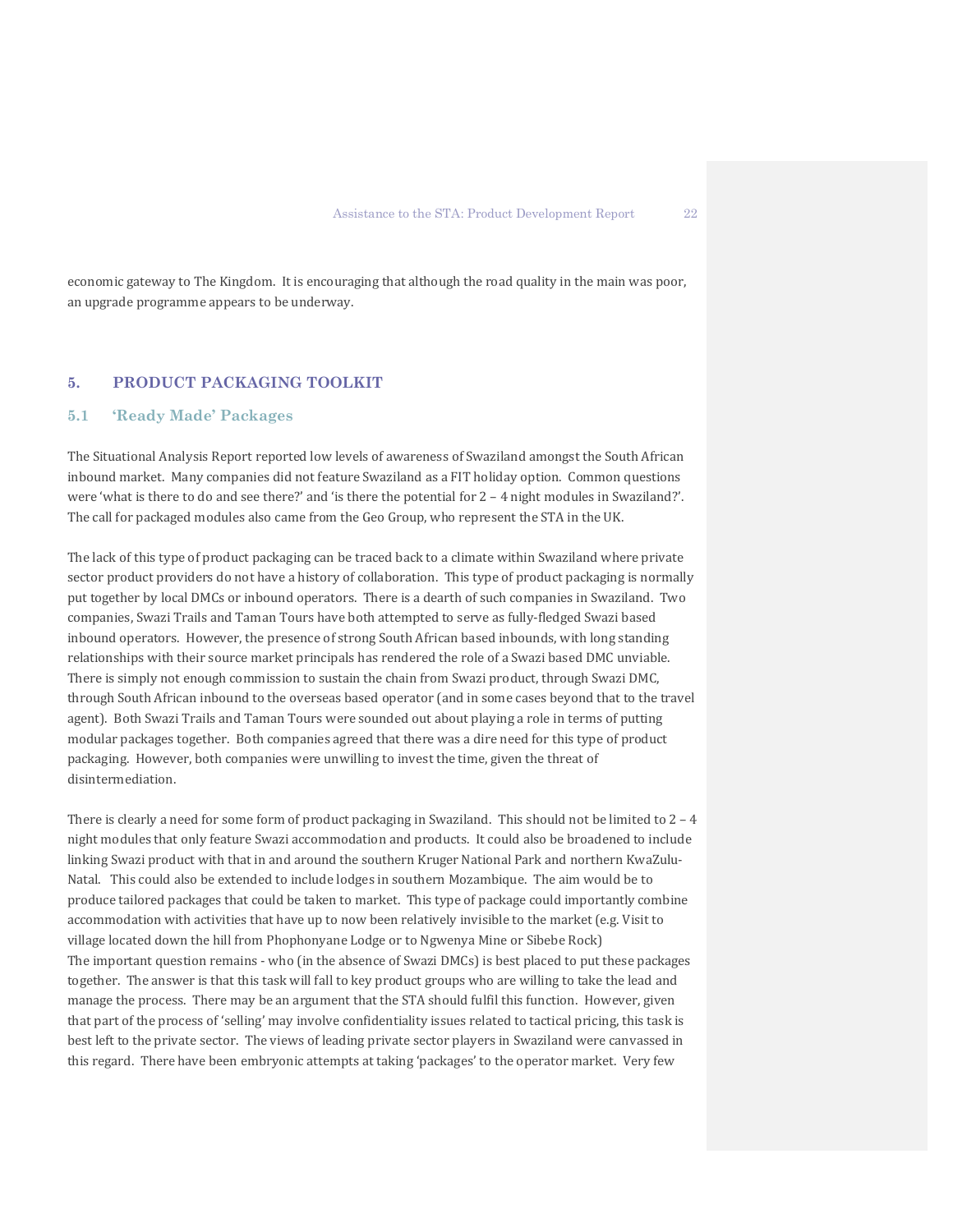economic gateway to The Kingdom. It is encouraging that although the road quality in the main was poor, an upgrade programme appears to be underway.

# **5. PRODUCT PACKAGING TOOLKIT**

#### **5.1 'Ready Made' Packages**

The Situational Analysis Report reported low levels of awareness of Swaziland amongst the South African inbound market. Many companies did not feature Swaziland as a FIT holiday option. Common questions were 'what is there to do and see there?' and 'is there the potential for 2 – 4 night modules in Swaziland?'. The call for packaged modules also came from the Geo Group, who represent the STA in the UK.

The lack of this type of product packaging can be traced back to a climate within Swaziland where private sector product providers do not have a history of collaboration. This type of product packaging is normally put together by local DMCs or inbound operators. There is a dearth of such companies in Swaziland. Two companies, Swazi Trails and Taman Tours have both attempted to serve as fully-fledged Swazi based inbound operators. However, the presence of strong South African based inbounds, with long standing relationships with their source market principals has rendered the role of a Swazi based DMC unviable. There is simply not enough commission to sustain the chain from Swazi product, through Swazi DMC, through South African inbound to the overseas based operator (and in some cases beyond that to the travel agent). Both Swazi Trails and Taman Tours were sounded out about playing a role in terms of putting modular packages together. Both companies agreed that there was a dire need for this type of product packaging. However, both companies were unwilling to invest the time, given the threat of disintermediation.

There is clearly a need for some form of product packaging in Swaziland. This should not be limited to  $2 - 4$ night modules that only feature Swazi accommodation and products. It could also be broadened to include linking Swazi product with that in and around the southern Kruger National Park and northern KwaZulu-Natal. This could also be extended to include lodges in southern Mozambique. The aim would be to produce tailored packages that could be taken to market. This type of package could importantly combine accommodation with activities that have up to now been relatively invisible to the market (e.g. Visit to village located down the hill from Phophonyane Lodge or to Ngwenya Mine or Sibebe Rock) The important question remains - who (in the absence of Swazi DMCs) is best placed to put these packages together. The answer is that this task will fall to key product groups who are willing to take the lead and manage the process. There may be an argument that the STA should fulfil this function. However, given that part of the process of 'selling' may involve confidentiality issues related to tactical pricing, this task is best left to the private sector. The views of leading private sector players in Swaziland were canvassed in this regard. There have been embryonic attempts at taking 'packages' to the operator market. Very few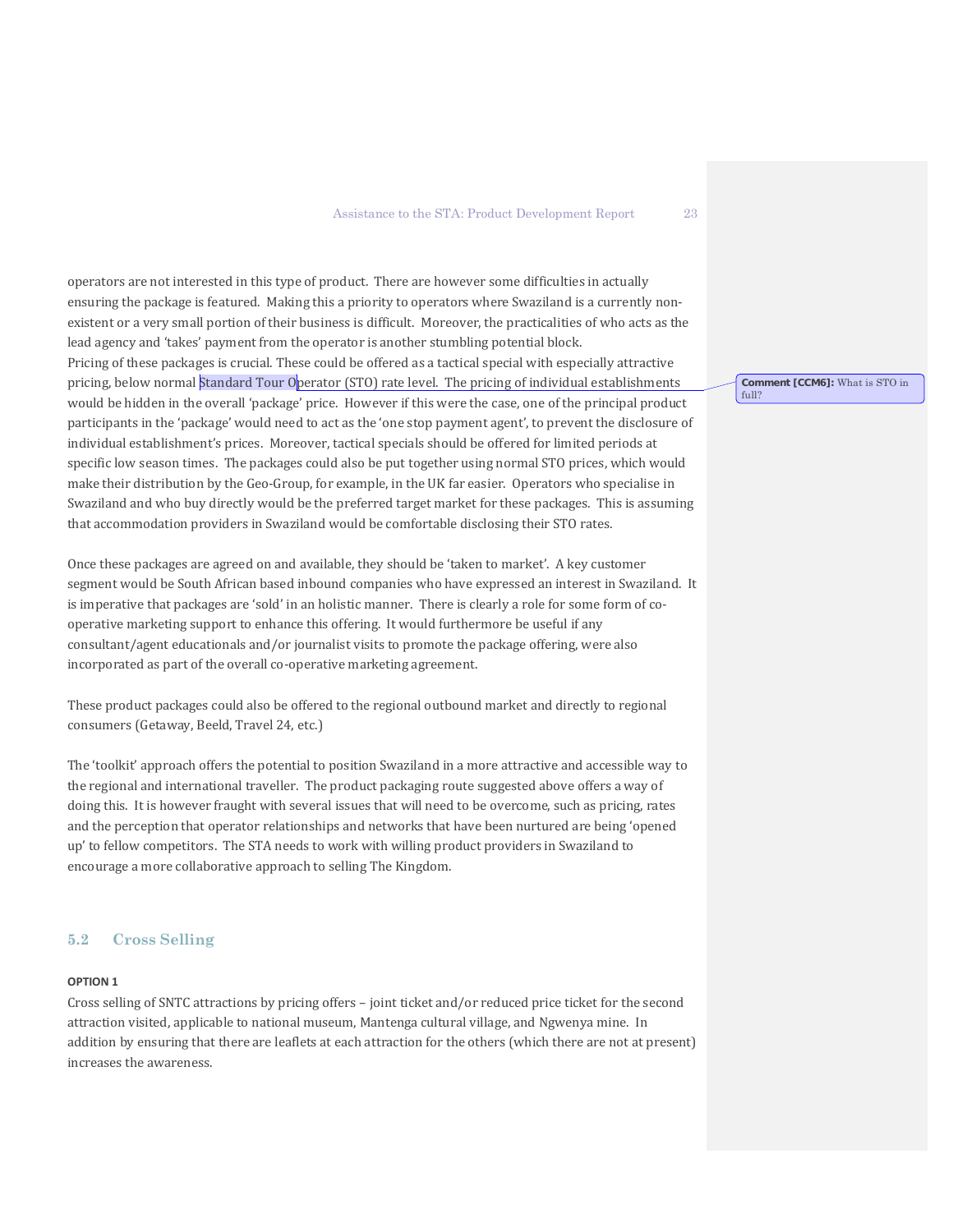operators are not interested in this type of product. There are however some difficulties in actually ensuring the package is featured. Making this a priority to operators where Swaziland is a currently nonexistent or a very small portion of their business is difficult. Moreover, the practicalities of who acts as the lead agency and 'takes' payment from the operator is another stumbling potential block. Pricing of these packages is crucial. These could be offered as a tactical special with especially attractive pricing, below normal Standard Tour Operator (STO) rate level. The pricing of individual establishments would be hidden in the overall 'package' price. However if this were the case, one of the principal product participants in the 'package' would need to act as the 'one stop payment agent', to prevent the disclosure of individual establishment's prices. Moreover, tactical specials should be offered for limited periods at specific low season times. The packages could also be put together using normal STO prices, which would make their distribution by the Geo-Group, for example, in the UK far easier. Operators who specialise in Swaziland and who buy directly would be the preferred target market for these packages. This is assuming that accommodation providers in Swaziland would be comfortable disclosing their STO rates.

Once these packages are agreed on and available, they should be 'taken to market'. A key customer segment would be South African based inbound companies who have expressed an interest in Swaziland. It is imperative that packages are 'sold' in an holistic manner. There is clearly a role for some form of cooperative marketing support to enhance this offering. It would furthermore be useful if any consultant/agent educationals and/or journalist visits to promote the package offering, were also incorporated as part of the overall co-operative marketing agreement.

These product packages could also be offered to the regional outbound market and directly to regional consumers (Getaway, Beeld, Travel 24, etc.)

The 'toolkit' approach offers the potential to position Swaziland in a more attractive and accessible way to the regional and international traveller. The product packaging route suggested above offers a way of doing this. It is however fraught with several issues that will need to be overcome, such as pricing, rates and the perception that operator relationships and networks that have been nurtured are being 'opened up' to fellow competitors. The STA needs to work with willing product providers in Swaziland to encourage a more collaborative approach to selling The Kingdom.

# **5.2 Cross Selling**

#### **OPTION 1**

Cross selling of SNTC attractions by pricing offers – joint ticket and/or reduced price ticket for the second attraction visited, applicable to national museum, Mantenga cultural village, and Ngwenya mine. In addition by ensuring that there are leaflets at each attraction for the others (which there are not at present) increases the awareness.

**Comment [CCM6]:** What is STO in

full?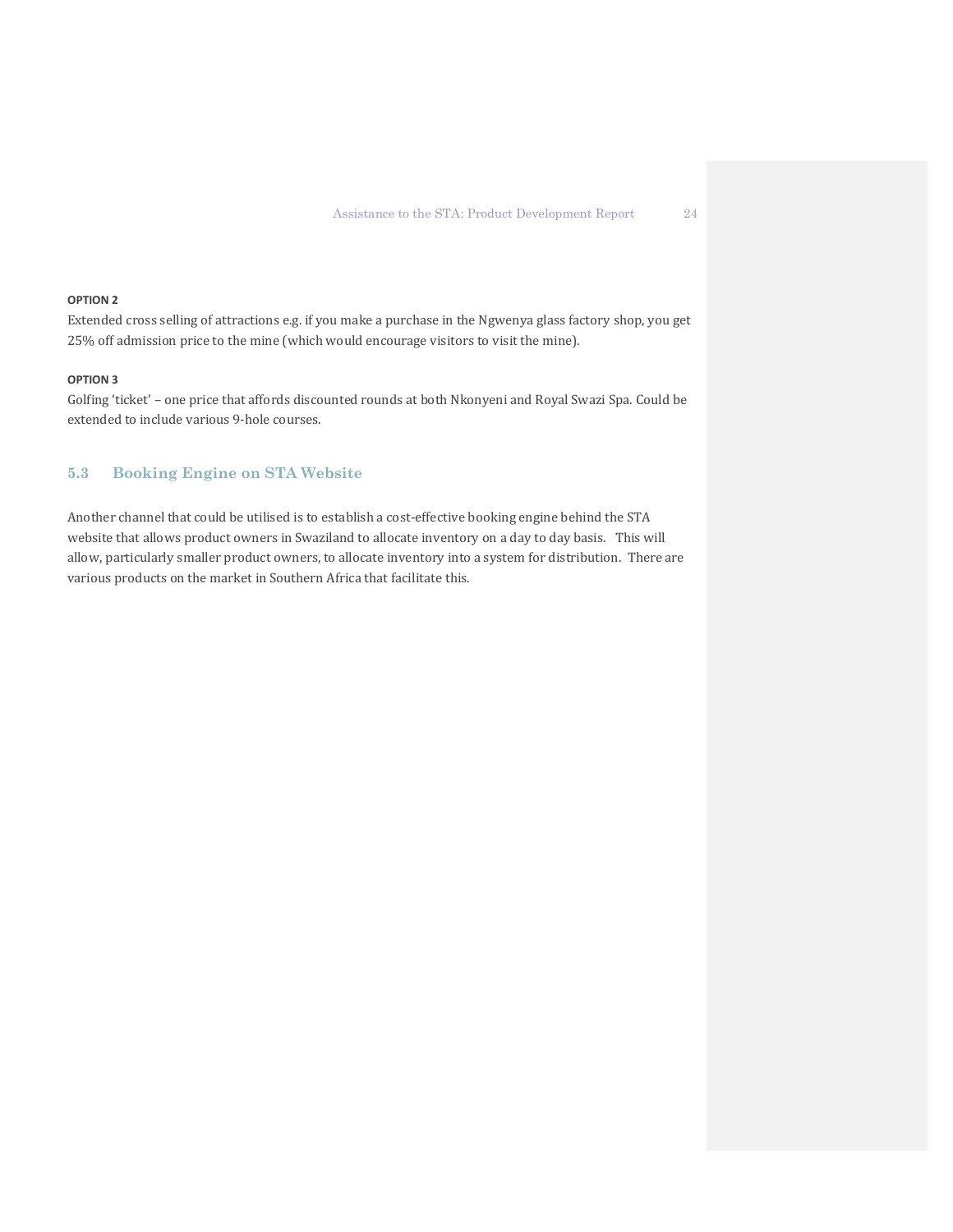#### **OPTION 2**

Extended cross selling of attractions e.g. if you make a purchase in the Ngwenya glass factory shop, you get 25% off admission price to the mine (which would encourage visitors to visit the mine).

#### **OPTION 3**

Golfing 'ticket' – one price that affords discounted rounds at both Nkonyeni and Royal Swazi Spa. Could be extended to include various 9-hole courses.

# **5.3 Booking Engine on STA Website**

Another channel that could be utilised is to establish a cost-effective booking engine behind the STA website that allows product owners in Swaziland to allocate inventory on a day to day basis. This will allow, particularly smaller product owners, to allocate inventory into a system for distribution. There are various products on the market in Southern Africa that facilitate this.